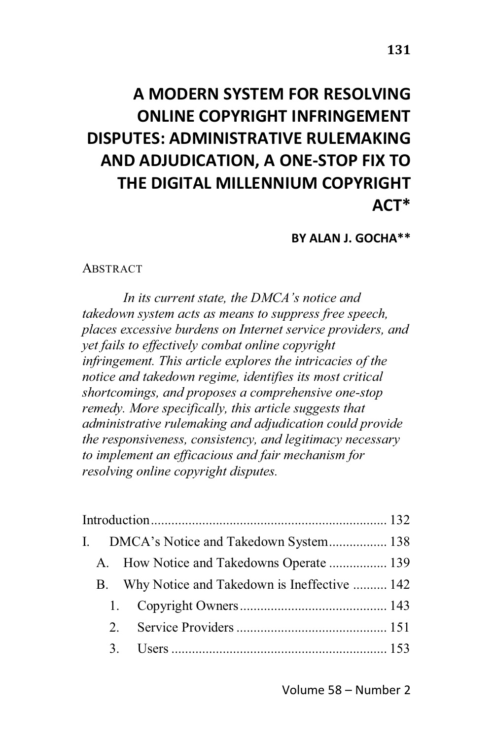# **A MODERN SYSTEM FOR RESOLVING ONLINE COPYRIGHT INFRINGEMENT DISPUTES: ADMINISTRATIVE RULEMAKING AND ADJUDICATION, A ONE-STOP FIX TO THE DIGITAL MILLENNIUM COPYRIGHT ACT\***

**BY ALAN J. GOCHA\*\***

#### **ABSTRACT**

*In its current state, the DMCA's notice and takedown system acts as means to suppress free speech, places excessive burdens on Internet service providers, and yet fails to effectively combat online copyright infringement. This article explores the intricacies of the notice and takedown regime, identifies its most critical shortcomings, and proposes a comprehensive one-stop remedy. More specifically, this article suggests that administrative rulemaking and adjudication could provide the responsiveness, consistency, and legitimacy necessary to implement an efficacious and fair mechanism for resolving online copyright disputes.*

|  |  | I. DMCA's Notice and Takedown System 138       |  |
|--|--|------------------------------------------------|--|
|  |  | A. How Notice and Takedowns Operate  139       |  |
|  |  | B. Why Notice and Takedown is Ineffective  142 |  |
|  |  |                                                |  |
|  |  |                                                |  |
|  |  |                                                |  |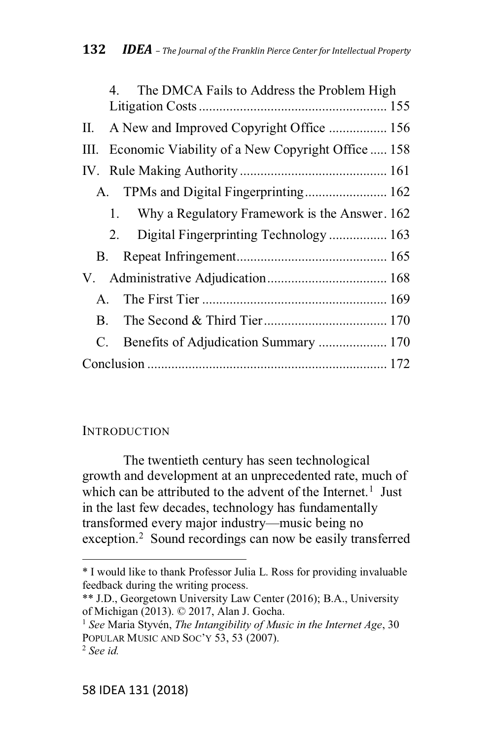|                | The DMCA Fails to Address the Problem High<br>4       |
|----------------|-------------------------------------------------------|
| Н.             | A New and Improved Copyright Office  156              |
|                | III. Economic Viability of a New Copyright Office 158 |
|                |                                                       |
|                | A. TPMs and Digital Fingerprinting 162                |
|                | Why a Regulatory Framework is the Answer. 162<br>1.   |
|                | 2. Digital Fingerprinting Technology  163             |
|                |                                                       |
|                |                                                       |
| $\mathsf{A}$ . |                                                       |
| B.             |                                                       |
| C.             |                                                       |
|                |                                                       |

### INTRODUCTION

The twentieth century has seen technological growth and development at an unprecedented rate, much of which can be attributed to the advent of the Internet.<sup>1</sup> Just in the last few decades, technology has fundamentally transformed every major industry—music being no exception.2 Sound recordings can now be easily transferred

<sup>\*</sup> I would like to thank Professor Julia L. Ross for providing invaluable feedback during the writing process.

<sup>\*\*</sup> J.D., Georgetown University Law Center (2016); B.A., University of Michigan (2013). © 2017, Alan J. Gocha.

<sup>1</sup> *See* Maria Styvén, *The Intangibility of Music in the Internet Age*, 30 POPULAR MUSIC AND SOC'Y 53, 53 (2007).

<sup>2</sup> *See id.*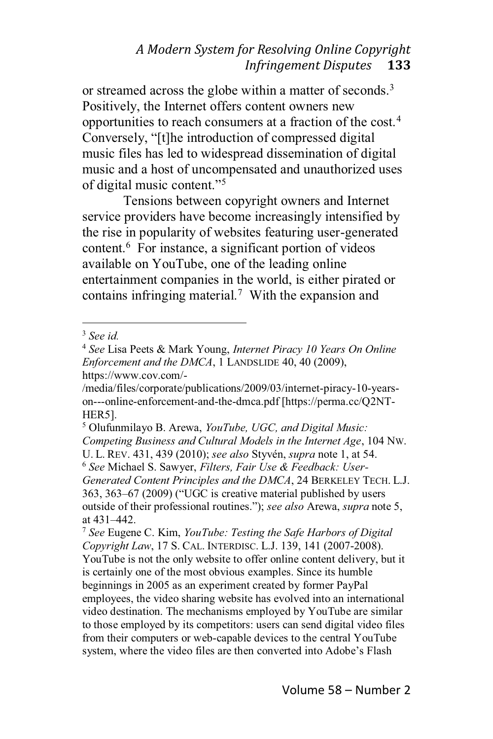or streamed across the globe within a matter of seconds.<sup>3</sup> Positively, the Internet offers content owners new opportunities to reach consumers at a fraction of the cost.4 Conversely, "[t]he introduction of compressed digital music files has led to widespread dissemination of digital music and a host of uncompensated and unauthorized uses of digital music content."<sup>5</sup>

Tensions between copyright owners and Internet service providers have become increasingly intensified by the rise in popularity of websites featuring user-generated content.6 For instance, a significant portion of videos available on YouTube, one of the leading online entertainment companies in the world, is either pirated or contains infringing material.<sup>7</sup> With the expansion and

/media/files/corporate/publications/2009/03/internet-piracy-10-yearson---online-enforcement-and-the-dmca.pdf [https://perma.cc/Q2NT-HER5].

<sup>3</sup> *See id.*

<sup>4</sup> *See* Lisa Peets & Mark Young, *Internet Piracy 10 Years On Online Enforcement and the DMCA*, 1 LANDSLIDE 40, 40 (2009), https://www.cov.com/-

<sup>5</sup> Olufunmilayo B. Arewa, *YouTube, UGC, and Digital Music: Competing Business and Cultural Models in the Internet Age*, 104 NW. U. L. REV. 431, 439 (2010); *see also* Styvén, *supra* note 1, at 54. <sup>6</sup> *See* Michael S. Sawyer, *Filters, Fair Use & Feedback: User-Generated Content Principles and the DMCA*, 24 BERKELEY TECH. L.J. 363, 363–67 (2009) ("UGC is creative material published by users outside of their professional routines."); see also Arewa, supra note 5, at  $431 - 442$ .

<sup>7</sup> *See* Eugene C. Kim, *YouTube: Testing the Safe Harbors of Digital Copyright Law*, 17 S. CAL. INTERDISC. L.J. 139, 141 (2007-2008). YouTube is not the only website to offer online content delivery, but it is certainly one of the most obvious examples. Since its humble beginnings in 2005 as an experiment created by former PayPal employees, the video sharing website has evolved into an international video destination. The mechanisms employed by YouTube are similar to those employed by its competitors: users can send digital video files from their computers or web-capable devices to the central YouTube system, where the video files are then converted into Adobe's Flash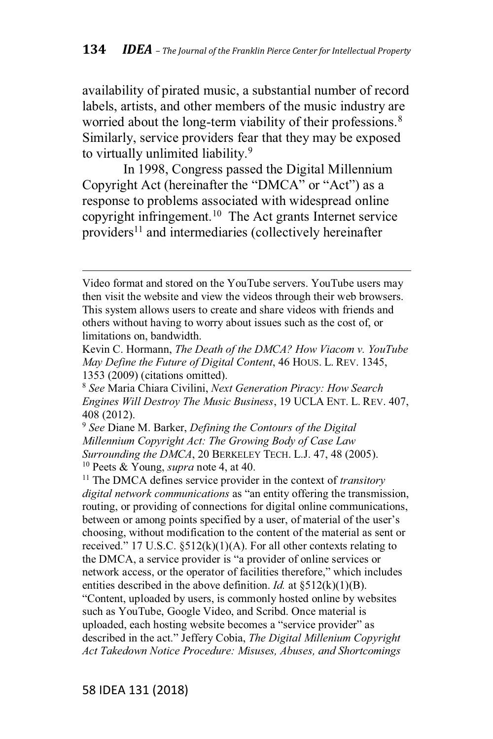availability of pirated music, a substantial number of record labels, artists, and other members of the music industry are worried about the long-term viability of their professions.<sup>8</sup> Similarly, service providers fear that they may be exposed to virtually unlimited liability.<sup>9</sup>

In 1998, Congress passed the Digital Millennium Copyright Act (hereinafter the "DMCA" or "Act") as a response to problems associated with widespread online copyright infringement.10 The Act grants Internet service providers<sup>11</sup> and intermediaries (collectively hereinafter

Video format and stored on the YouTube servers. YouTube users may then visit the website and view the videos through their web browsers. This system allows users to create and share videos with friends and others without having to worry about issues such as the cost of, or limitations on, bandwidth.

Kevin C. Hormann, *The Death of the DMCA? How Viacom v. YouTube May Define the Future of Digital Content*, 46 HOUS. L. REV. 1345, 1353 (2009) (citations omitted).

<sup>8</sup> *See* Maria Chiara Civilini, *Next Generation Piracy: How Search Engines Will Destroy The Music Business*, 19 UCLA ENT. L. REV. 407, 408 (2012).

<sup>9</sup> *See* Diane M. Barker, *Defining the Contours of the Digital Millennium Copyright Act: The Growing Body of Case Law Surrounding the DMCA*, 20 BERKELEY TECH. L.J. 47, 48 (2005). <sup>10</sup> Peets & Young, *supra* note 4, at 40.

<sup>11</sup> The DMCA defines service provider in the context of *transitory digital network communications* as "an entity offering the transmission, routing, or providing of connections for digital online communications, between or among points specified by a user, of material of the user's choosing, without modification to the content of the material as sent or received." 17 U.S.C.  $\S512(k)(1)(A)$ . For all other contexts relating to the DMCA, a service provider is "a provider of online services or network access, or the operator of facilities therefore," which includes entities described in the above definition. *Id.* at §512(k)(1)(B). "Content, uploaded by users, is commonly hosted online by websites such as YouTube, Google Video, and Scribd. Once material is uploaded, each hosting website becomes a "service provider" as 7,&9-6K,7 6\* 35, >93?@ U,::,-y Cobia, *The Digital Millenium Copyright Act Takedown Notice Procedure: Misuses, Abuses, and Shortcomings*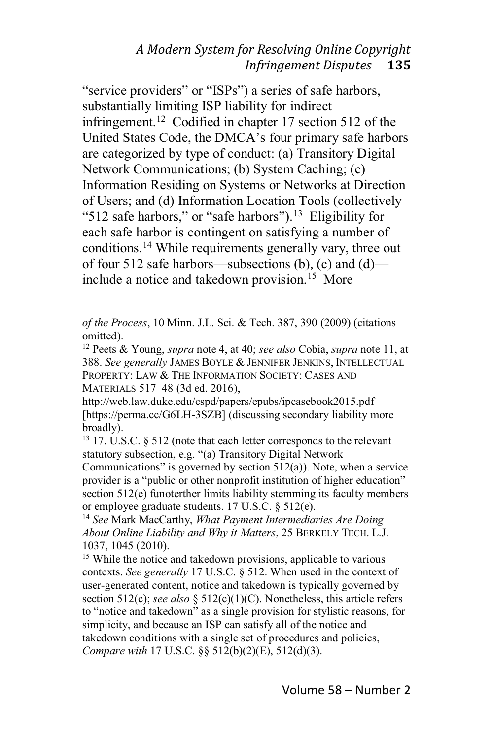"service providers" or "ISPs") a series of safe harbors, substantially limiting ISP liability for indirect infringement.12 Codified in chapter 17 section 512 of the United States Code, the DMCA's four primary safe harbors are categorized by type of conduct: (a) Transitory Digital Network Communications; (b) System Caching; (c) Information Residing on Systems or Networks at Direction of Users; and (d) Information Location Tools (collectively "512 safe harbors," or "safe harbors").<sup>13</sup> Eligibility for each safe harbor is contingent on satisfying a number of conditions.14 While requirements generally vary, three out of four 512 safe harbors—subsections (b), (c) and (d) include a notice and takedown provision.<sup>15</sup> More

http://web.law.duke.edu/cspd/papers/epubs/ipcasebook2015.pdf [https://perma.cc/G6LH-3SZB] (discussing secondary liability more broadly).

<sup>13</sup> 17. U.S.C. § 512 (note that each letter corresponds to the relevant statutory subsection, e.g. "(a) Transitory Digital Network

Communications" is governed by section  $512(a)$ ). Note, when a service provider is a "public or other nonprofit institution of higher education" section 512(e) funoterther limits liability stemming its faculty members or employee graduate students. 17 U.S.C. § 512(e).

<sup>14</sup> *See* Mark MacCarthy, *What Payment Intermediaries Are Doing About Online Liability and Why it Matters*, 25 BERKELY TECH. L.J. 1037, 1045 (2010).

<sup>15</sup> While the notice and takedown provisions, applicable to various contexts. *See generally* 17 U.S.C. § 512. When used in the context of user-generated content, notice and takedown is typically governed by section 512(c); *see also* § 512(c)(1)(C). Nonetheless, this article refers to "notice and takedown" as a single provision for stylistic reasons, for simplicity, and because an ISP can satisfy all of the notice and takedown conditions with a single set of procedures and policies, *Compare with* 17 U.S.C. §§ 512(b)(2)(E), 512(d)(3).

*of the Process*, 10 Minn. J.L. Sci. & Tech. 387, 390 (2009) (citations omitted).

<sup>12</sup> Peets & Young, *supra* note 4, at 40; *see also* Cobia, *supra* note 11, at 388. *See generally* JAMES BOYLE & JENNIFER JENKINS, INTELLECTUAL PROPERTY: LAW & THE INFORMATION SOCIETY: CASES AND MATERIALS 517-48 (3d ed. 2016),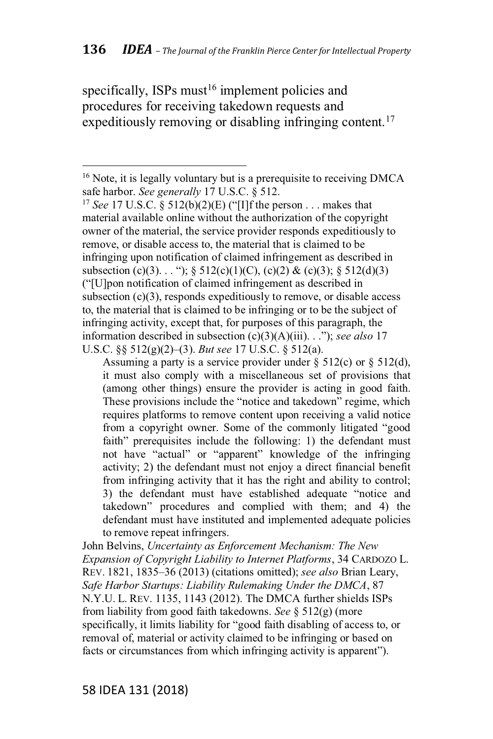specifically, ISPs must $16$  implement policies and procedures for receiving takedown requests and expeditiously removing or disabling infringing content.<sup>17</sup>

Assuming a party is a service provider under  $\S$  512(c) or  $\S$  512(d), it must also comply with a miscellaneous set of provisions that (among other things) ensure the provider is acting in good faith. These provisions include the "notice and takedown" regime, which requires platforms to remove content upon receiving a valid notice from a copyright owner. Some of the commonly litigated "good faith" prerequisites include the following: 1) the defendant must not have "actual" or "apparent" knowledge of the infringing activity; 2) the defendant must not enjoy a direct financial benefit from infringing activity that it has the right and ability to control; 3) the defendant must have established adequate "notice and takedown" procedures and complied with them; and 4) the defendant must have instituted and implemented adequate policies to remove repeat infringers.

John Belvins, *Uncertainty as Enforcement Mechanism: The New Expansion of Copyright Liability to Internet Platforms*, 34 CARDOZO L. REV. 1821, 1835-36 (2013) (citations omitted); *see also* Brian Leary, *Safe Harbor Startups: Liability Rulemaking Under the DMCA*, 87 N.Y.U. L. REV. 1135, 1143 (2012). The DMCA further shields ISPs from liability from good faith takedowns. *See* § 512(g) (more specifically, it limits liability for "good faith disabling of access to, or removal of, material or activity claimed to be infringing or based on facts or circumstances from which infringing activity is apparent").

<sup>&</sup>lt;sup>16</sup> Note, it is legally voluntary but is a prerequisite to receiving DMCA safe harbor. *See generally* 17 U.S.C. § 512.

<sup>&</sup>lt;sup>17</sup> *See* 17 U.S.C. § 512(b)(2)(E) ("[I]f the person . . . makes that material available online without the authorization of the copyright owner of the material, the service provider responds expeditiously to remove, or disable access to, the material that is claimed to be infringing upon notification of claimed infringement as described in subsection (c)(3)... "); § 512(c)(1)(C), (c)(2) & (c)(3); § 512(d)(3) ("[U]pon notification of claimed infringement as described in subsection  $(c)(3)$ , responds expeditiously to remove, or disable access to, the material that is claimed to be infringing or to be the subject of infringing activity, except that, for purposes of this paragraph, the information described in subsection  $(c)(3)(A)(iii)$ . . ."); see also 17 U.S.C. §§ 512(g)(2)–(3). *But see* 17 U.S.C. § 512(a).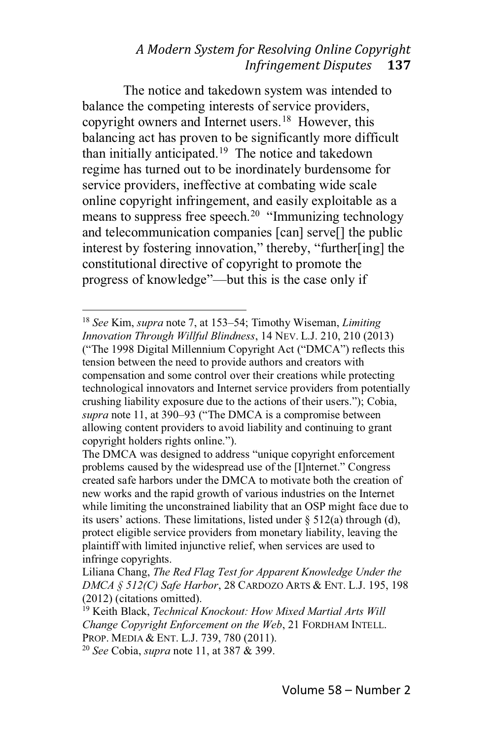The notice and takedown system was intended to balance the competing interests of service providers, copyright owners and Internet users.<sup>18</sup> However, this balancing act has proven to be significantly more difficult than initially anticipated.<sup>19</sup> The notice and takedown regime has turned out to be inordinately burdensome for service providers, ineffective at combating wide scale online copyright infringement, and easily exploitable as a means to suppress free speech.<sup>20</sup> "Immunizing technology and telecommunication companies [can] serve[] the public interest by fostering innovation," thereby, "further[ing] the constitutional directive of copyright to promote the progress of knowledge"—but this is the case only if

<sup>20</sup> *See* Cobia, *supra* note 11, at 387 & 399.

<sup>&</sup>lt;sup>18</sup> *See* Kim, *supra* note 7, at 153–54; Timothy Wiseman, *Limiting Innovation Through Willful Blindness*, 14 NEV. L.J. 210, 210 (2013) ("The 1998 Digital Millennium Copyright Act ("DMCA") reflects this tension between the need to provide authors and creators with compensation and some control over their creations while protecting technological innovators and Internet service providers from potentially erushing liability exposure due to the actions of their users."); Cobia, supra note 11, at 390–93 ("The DMCA is a compromise between allowing content providers to avoid liability and continuing to grant copyright holders rights online.").

The DMCA was designed to address "unique copyright enforcement problems caused by the widespread use of the [I]nternet." Congress created safe harbors under the DMCA to motivate both the creation of new works and the rapid growth of various industries on the Internet while limiting the unconstrained liability that an OSP might face due to its users' actions. These limitations, listed under  $\S$  512(a) through (d), protect eligible service providers from monetary liability, leaving the plaintiff with limited injunctive relief, when services are used to infringe copyrights.

Liliana Chang, *The Red Flag Test for Apparent Knowledge Under the DMCA § 512(C) Safe Harbor*, 28 CARDOZO ARTS & ENT. L.J. 195, 198 (2012) (citations omitted).

<sup>19</sup> Keith Black, *Technical Knockout: How Mixed Martial Arts Will Change Copyright Enforcement on the Web*, 21 FORDHAM INTELL. PROP. MEDIA & ENT. L.J. 739, 780 (2011).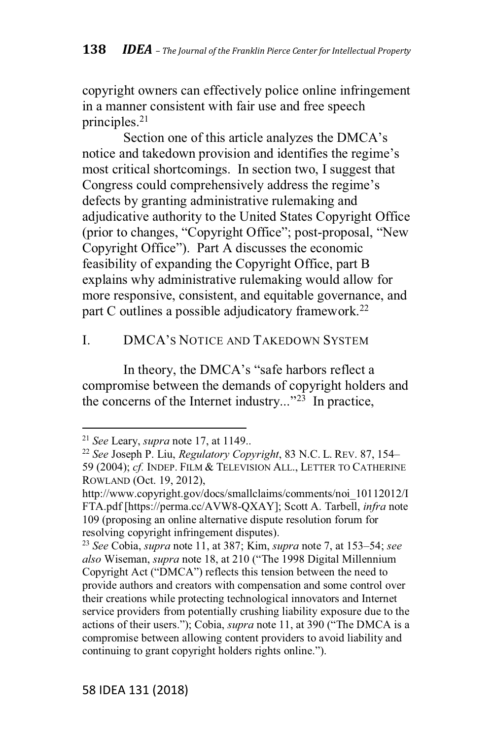copyright owners can effectively police online infringement in a manner consistent with fair use and free speech principles.21

Section one of this article analyzes the DMCA's notice and takedown provision and identifies the regime's most critical shortcomings. In section two, I suggest that Congress could comprehensively address the regime's defects by granting administrative rulemaking and adjudicative authority to the United States Copyright Office (prior to changes, "Copyright Office"; post-proposal, "New Copyright Office"). Part A discusses the economic feasibility of expanding the Copyright Office, part B explains why administrative rulemaking would allow for more responsive, consistent, and equitable governance, and part C outlines a possible adjudicatory framework.<sup>22</sup>

### I. DMCA's NOTICE AND TAKEDOWN SYSTEM

In theory, the DMCA's "safe harbors reflect a compromise between the demands of copyright holders and the concerns of the Internet industry..." $^{23}$  In practice,

<sup>21</sup> *See* Leary, *supra* note 17, at 1149..

<sup>&</sup>lt;sup>22</sup> See Joseph P. Liu, *Regulatory Copyright*, 83 N.C. L. REV. 87, 154– 59 (2004); *cf.* INDEP. FILM & TELEVISION ALL., LETTER TO CATHERINE ROWLAND (Oct. 19, 2012),

http://www.copyright.gov/docs/smallclaims/comments/noi\_10112012/I FTA.pdf [https://perma.cc/AVW8-QXAY]; Scott A. Tarbell, *infra* note 109 (proposing an online alternative dispute resolution forum for resolving copyright infringement disputes).

<sup>&</sup>lt;sup>23</sup> See Cobia, *supra* note 11, at 387; Kim, *supra* note 7, at 153–54; *see* also Wiseman, *supra* note 18, at 210 ("The 1998 Digital Millennium Copyright Act ("DMCA") reflects this tension between the need to provide authors and creators with compensation and some control over their creations while protecting technological innovators and Internet service providers from potentially crushing liability exposure due to the actions of their users."); Cobia, *supra* note 11, at 390 ("The DMCA is a compromise between allowing content providers to avoid liability and continuing to grant copyright holders rights online.").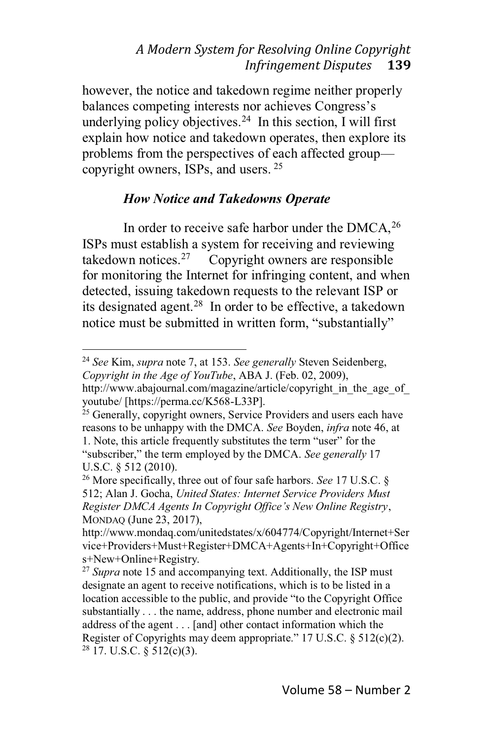however, the notice and takedown regime neither properly balances competing interests nor achieves Congress's underlying policy objectives.<sup>24</sup> In this section, I will first explain how notice and takedown operates, then explore its problems from the perspectives of each affected group( copyright owners, ISPs, and users. <sup>25</sup>

### *How Notice and Takedowns Operate*

In order to receive safe harbor under the  $DMCA<sup>26</sup>$ ISPs must establish a system for receiving and reviewing<br>takedown notices.<sup>27</sup> Copyright owners are responsible Copyright owners are responsible for monitoring the Internet for infringing content, and when detected, issuing takedown requests to the relevant ISP or its designated agent.28 In order to be effective, a takedown notice must be submitted in written form, "substantially"

<sup>24</sup> *See* Kim, *supra* note 7, at 153. *See generally* Steven Seidenberg, *Copyright in the Age of YouTube*, ABA J. (Feb. 02, 2009),

http://www.abajournal.com/magazine/article/copyright in the age of youtube/ [https://perma.cc/K568-L33P].

<sup>&</sup>lt;sup>25</sup> Generally, copyright owners, Service Providers and users each have reasons to be unhappy with the DMCA. *See* Boyden, *infra* note 46, at 1. Note, this article frequently substitutes the term "user" for the "subscriber," the term employed by the DMCA. See generally 17 U.S.C. § 512 (2010).

<sup>26</sup> More specifically, three out of four safe harbors. *See* 17 U.S.C. § 512; Alan J. Gocha, *United States: Internet Service Providers Must Register DMCA Agents In Copyright Office's New Online Registry,* MONDAQ (June 23, 2017),

http://www.mondaq.com/unitedstates/x/604774/Copyright/Internet+Ser vice+Providers+Must+Register+DMCA+Agents+In+Copyright+Office s+New+Online+Registry.

<sup>&</sup>lt;sup>27</sup> *Supra* note 15 and accompanying text. Additionally, the ISP must designate an agent to receive notifications, which is to be listed in a location accessible to the public, and provide "to the Copyright Office" substantially . . . the name, address, phone number and electronic mail address of the agent . . . [and] other contact information which the Register of Copyrights may deem appropriate."  $17 \text{ U.S.C.}$  §  $512(c)(2)$ .  $28$  17. U.S.C. § 512(c)(3).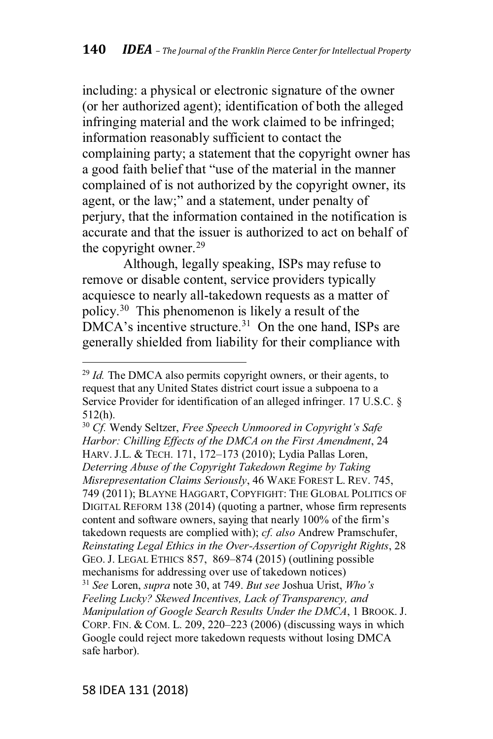including: a physical or electronic signature of the owner (or her authorized agent); identification of both the alleged infringing material and the work claimed to be infringed; information reasonably sufficient to contact the complaining party; a statement that the copyright owner has a good faith belief that "use of the material in the manner complained of is not authorized by the copyright owner, its agent, or the law;" and a statement, under penalty of perjury, that the information contained in the notification is accurate and that the issuer is authorized to act on behalf of the copyright owner.<sup>29</sup>

Although, legally speaking, ISPs may refuse to remove or disable content, service providers typically acquiesce to nearly all-takedown requests as a matter of policy.30 This phenomenon is likely a result of the  $DMCA's$  incentive structure.<sup>31</sup> On the one hand, ISPs are generally shielded from liability for their compliance with

<sup>30</sup> *Cf.* Wendy Seltzer, *Free Speech Unmoored in Copyright's Safe Harbor: Chilling Effects of the DMCA on the First Amendment*, 24 HARV. J.L. & TECH. 171, 172-173 (2010); Lydia Pallas Loren, *Deterring Abuse of the Copyright Takedown Regime by Taking Misrepresentation Claims Seriously*, 46 WAKE FOREST L. REV. 745, 749 (2011); BLAYNE HAGGART, COPYFIGHT: THE GLOBAL POLITICS OF DIGITAL REFORM 138 (2014) (quoting a partner, whose firm represents content and software owners, saying that nearly 100% of the firm's takedown requests are complied with); *cf. also* Andrew Pramschufer, *Reinstating Legal Ethics in the Over-Assertion of Copyright Rights*, 28 GEO. J. LEGAL ETHICS 857, 869-874 (2015) (outlining possible mechanisms for addressing over use of takedown notices) <sup>31</sup> See Loren, *supra* note 30, at 749. *But see Joshua Urist, Who's Feeling Lucky? Skewed Incentives, Lack of Transparency, and Manipulation of Google Search Results Under the DMCA*,1BROOK. J. CORP. FIN. & COM. L. 209, 220–223 (2006) (discussing ways in which Google could reject more takedown requests without losing DMCA safe harbor).

<sup>&</sup>lt;sup>29</sup> *Id.* The DMCA also permits copyright owners, or their agents, to request that any United States district court issue a subpoena to a Service Provider for identification of an alleged infringer. 17 U.S.C. § 512(h).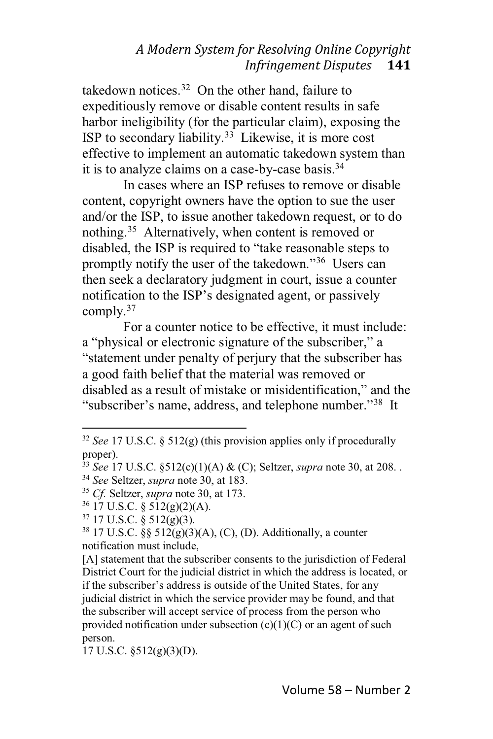takedown notices. $32$  On the other hand, failure to expeditiously remove or disable content results in safe harbor ineligibility (for the particular claim), exposing the ISP to secondary liability.<sup>33</sup> Likewise, it is more cost effective to implement an automatic takedown system than it is to analyze claims on a case-by-case basis.34

In cases where an ISP refuses to remove or disable content, copyright owners have the option to sue the user and/or the ISP, to issue another takedown request, or to do nothing.35 Alternatively, when content is removed or disabled, the ISP is required to "take reasonable steps to promptly notify the user of the takedown."<sup>36</sup> Users can then seek a declaratory judgment in court, issue a counter notification to the ISP's designated agent, or passively comply.<sup>37</sup>

For a counter notice to be effective, it must include: a "physical or electronic signature of the subscriber," a "statement under penalty of perjury that the subscriber has a good faith belief that the material was removed or disabled as a result of mistake or misidentification," and the "subscriber's name, address, and telephone number."<sup>38</sup> It

<sup>36</sup> 17 U.S.C. § 512(g)(2)(A).

[A] statement that the subscriber consents to the jurisdiction of Federal District Court for the judicial district in which the address is located, or if the subscriber's address is outside of the United States, for any judicial district in which the service provider may be found, and that the subscriber will accept service of process from the person who provided notification under subsection  $(c)(1)(C)$  or an agent of such person.

17 U.S.C. §512(g)(3)(D).

<sup>32</sup> *See* 17 U.S.C. § 512(g) (this provision applies only if procedurally proper).

<sup>33</sup> *See* 17 U.S.C. §512(c)(1)(A) & (C); Seltzer, *supra* note 30, at 208. .

<sup>34</sup> *See* Seltzer, *supra* note 30, at 183.

<sup>35</sup> *Cf.* Seltzer, *supra* note 30, at 173.

 $37$  17 U.S.C. § 512(g)(3).

 $38\,17\,$  U.S.C.  $\S\$   $512(g)(3)(A)$ , (C), (D). Additionally, a counter notification must include,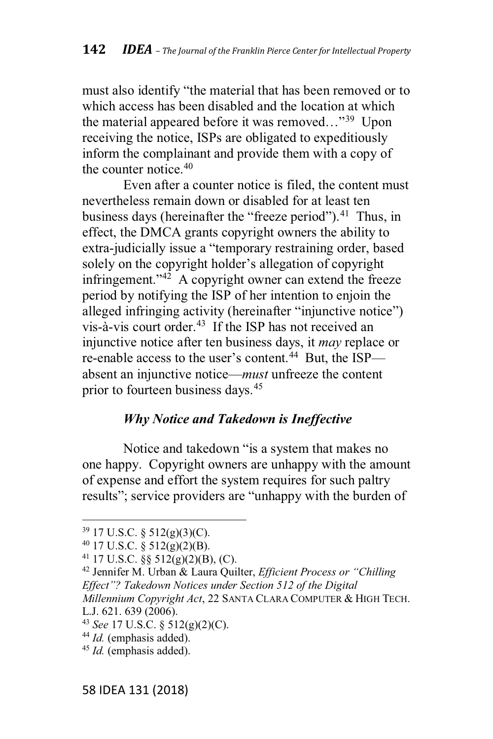must also identify "the material that has been removed or to which access has been disabled and the location at which the material appeared before it was removed..."<sup>39</sup> Upon receiving the notice, ISPs are obligated to expeditiously inform the complainant and provide them with a copy of the counter notice.<sup>40</sup>

Even after a counter notice is filed, the content must nevertheless remain down or disabled for at least ten business days (hereinafter the "freeze period").<sup>41</sup> Thus, in effect, the DMCA grants copyright owners the ability to extra-judicially issue a "temporary restraining order, based solely on the copyright holder's allegation of copyright infringement." $42$  A copyright owner can extend the freeze period by notifying the ISP of her intention to enjoin the alleged infringing activity (hereinafter "injunctive notice") vis-à-vis court order.43 If the ISP has not received an injunctive notice after ten business days, it *may* replace or re-enable access to the user's content.<sup>44</sup> But, the ISP absent an injunctive notice—*must* unfreeze the content prior to fourteen business days.45

# *Why Notice and Takedown is Ineffective*

Notice and takedown "is a system that makes no one happy. Copyright owners are unhappy with the amount of expense and effort the system requires for such paltry results"; service providers are "unhappy with the burden of

<sup>39</sup> 17 U.S.C. § 512(g)(3)(C).

<sup>40</sup> 17 U.S.C. § 512(g)(2)(B).

<sup>41</sup> 17 U.S.C. §§ 512(g)(2)(B), (C).

<sup>&</sup>lt;sup>42</sup> Jennifer M. Urban & Laura Quilter, *Efficient Process or "Chilling*" *Bffect"? Takedown Notices under Section 512 of the Digital Millennium Copyright Act*, 22 SANTA CLARA COMPUTER & HIGH TECH. L.J. 621. 639 (2006).

<sup>43</sup> *See* 17 U.S.C. § 512(g)(2)(C).

<sup>44</sup> *Id.* (emphasis added).

<sup>45</sup> *Id.* (emphasis added).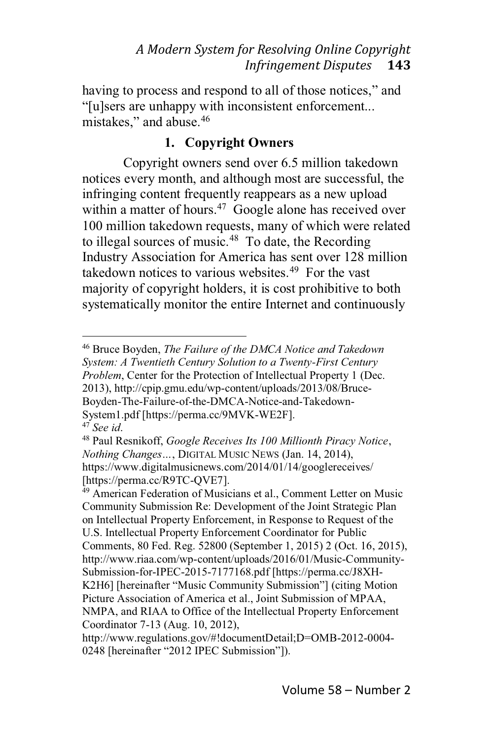having to process and respond to all of those notices," and "[u]sers are unhappy with inconsistent enforcement... mistakes," and abuse.<sup>46</sup>

# **1. Copyright Owners**

Copyright owners send over 6.5 million takedown notices every month, and although most are successful, the infringing content frequently reappears as a new upload within a matter of hours.<sup>47</sup> Google alone has received over 100 million takedown requests, many of which were related to illegal sources of music. $48$  To date, the Recording Industry Association for America has sent over 128 million takedown notices to various websites.<sup>49</sup> For the vast majority of copyright holders, it is cost prohibitive to both systematically monitor the entire Internet and continuously

<sup>46</sup> Bruce Boyden, *The Failure of the DMCA Notice and Takedown System: A Twentieth Century Solution to a Twenty-First Century Problem*, Center for the Protection of Intellectual Property 1 (Dec. 2013), http://cpip.gmu.edu/wp-content/uploads/2013/08/Bruce-Boyden-The-Failure-of-the-DMCA-Notice-and-Takedown-System1.pdf [https://perma.cc/9MVK-WE2F].

<sup>47</sup> *See id*.

<sup>48</sup> Paul Resnikoff, *Google Receives Its 100 Millionth Piracy Notice*, *Nothing Changes..., DIGITAL MUSIC NEWS (Jan. 14, 2014),* https://www.digitalmusicnews.com/2014/01/14/googlereceives/ [https://perma.cc/R9TC-QVE7].

<sup>49</sup> American Federation of Musicians et al., Comment Letter on Music Community Submission Re: Development of the Joint Strategic Plan on Intellectual Property Enforcement, in Response to Request of the U.S. Intellectual Property Enforcement Coordinator for Public Comments, 80 Fed. Reg. 52800 (September 1, 2015) 2 (Oct. 16, 2015), http://www.riaa.com/wp-content/uploads/2016/01/Music-Community-Submission-for-IPEC-2015-7177168.pdf [https://perma.cc/J8XH-K2H6] [hereinafter "Music Community Submission"] (citing Motion Picture Association of America et al., Joint Submission of MPAA, NMPA, and RIAA to Office of the Intellectual Property Enforcement Coordinator 7-13 (Aug. 10, 2012),

http://www.regulations.gov/#!documentDetail;D=OMB-2012-0004- 0248 [hereinafter "2012 IPEC Submission"]).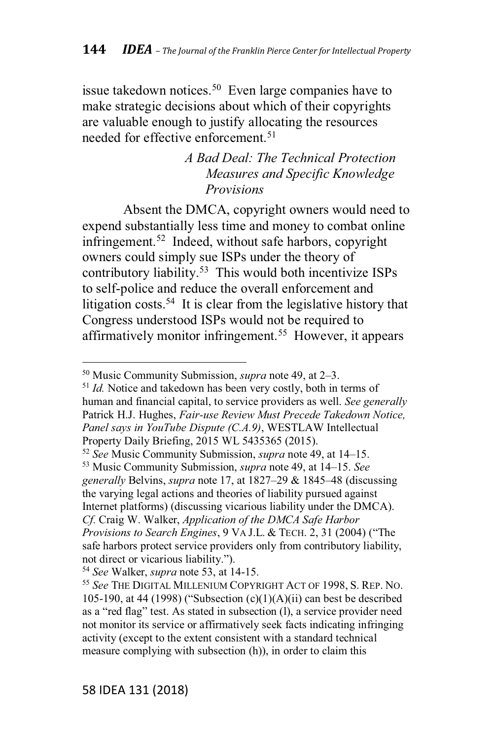issue takedown notices.<sup>50</sup> Even large companies have to make strategic decisions about which of their copyrights are valuable enough to justify allocating the resources needed for effective enforcement.<sup>51</sup>

# *A Bad Deal: The Technical Protection Measures and Specific Knowledge Provisions*

Absent the DMCA, copyright owners would need to expend substantially less time and money to combat online infringement.<sup>52</sup> Indeed, without safe harbors, copyright owners could simply sue ISPs under the theory of contributory liability.53 This would both incentivize ISPs to self-police and reduce the overall enforcement and litigation costs.<sup>54</sup> It is clear from the legislative history that Congress understood ISPs would not be required to affirmatively monitor infringement.<sup>55</sup> However, it appears

<sup>52</sup> See Music Community Submission, *supra* note 49, at 14–15. 53 Music Community Submission, *supra* note 49, at 14–15. See *generally* Belvins, *supra* note 17, at 1827–29 & 1845–48 (discussing the varying legal actions and theories of liability pursued against Internet platforms) (discussing vicarious liability under the DMCA). *Cf.* Craig W. Walker, *Application of the DMCA Safe Harbor Provisions to Search Engines*, 9 VA J.L. & TECH. 2, 31 (2004) ("The safe harbors protect service providers only from contributory liability, not direct or vicarious liability.").

<sup>&</sup>lt;sup>50</sup> Music Community Submission, *supra* note 49, at 2-3.

<sup>&</sup>lt;sup>51</sup> *Id.* Notice and takedown has been very costly, both in terms of human and financial capital, to service providers as well. *See generally* Patrick H.J. Hughes, *Fair-use Review Must Precede Takedown Notice, Panel says in YouTube Dispute (C.A.9)*, WESTLAW Intellectual Property Daily Briefing, 2015 WL 5435365 (2015).

<sup>54</sup> *See* Walker, *supra* note 53, at 14-15.

<sup>55</sup> *See* THE DIGITAL MILLENIUM COPYRIGHT ACT OF 1998, S. REP. NO. 105-190, at 44 (1998) ("Subsection  $(c)(1)(A)(ii)$  can best be described as a "red flag" test. As stated in subsection (l), a service provider need not monitor its service or affirmatively seek facts indicating infringing activity (except to the extent consistent with a standard technical measure complying with subsection (h)), in order to claim this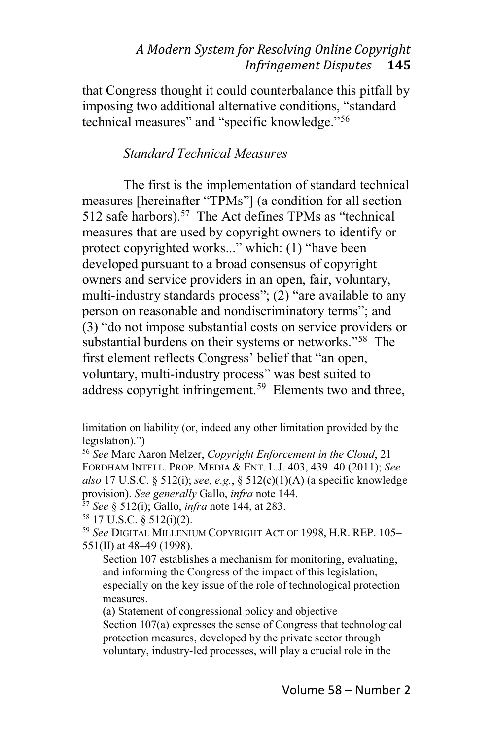that Congress thought it could counterbalance this pitfall by imposing two additional alternative conditions, "standard technical measures" and "specific knowledge."<sup>56</sup>

#### *Standard Technical Measures*

The first is the implementation of standard technical measures [hereinafter "TPMs"] (a condition for all section 512 safe harbors).<sup>57</sup> The Act defines TPMs as "technical" measures that are used by copyright owners to identify or protect copyrighted works..." which: (1) "have been developed pursuant to a broad consensus of copyright owners and service providers in an open, fair, voluntary, multi-industry standards process";  $(2)$  "are available to any person on reasonable and nondiscriminatory terms"; and  $(3)$  "do not impose substantial costs on service providers or substantial burdens on their systems or networks."<sup>58</sup> The first element reflects Congress' belief that "an open, voluntary, multi-industry process" was best suited to address copyright infringement.<sup>59</sup> Elements two and three,

limitation on liability (or, indeed any other limitation provided by the legislation).")

<sup>56</sup> *See* Marc Aaron Melzer, *Copyright Enforcement in the Cloud*, 21 FORDHAM INTELL. PROP. MEDIA & ENT. L.J. 403, 439-40 (2011); See *also* 17 U.S.C. § 512(i); *see, e.g.*, § 512(c)(1)(A) (a specific knowledge provision). *See generally* Gallo, *infra* note 144.

<sup>57</sup> *See* § 512(i); Gallo, *infra* note 144, at 283.

 $58$  17 U.S.C. § 512(i)(2).

<sup>&</sup>lt;sup>59</sup> See DIGITAL MILLENIUM COPYRIGHT ACT OF 1998, H.R. REP. 105-551(II) at  $48-49$  (1998).

Section 107 establishes a mechanism for monitoring, evaluating, and informing the Congress of the impact of this legislation, especially on the key issue of the role of technological protection measures.

<sup>(</sup>a) Statement of congressional policy and objective

Section 107(a) expresses the sense of Congress that technological protection measures, developed by the private sector through voluntary, industry-led processes, will play a crucial role in the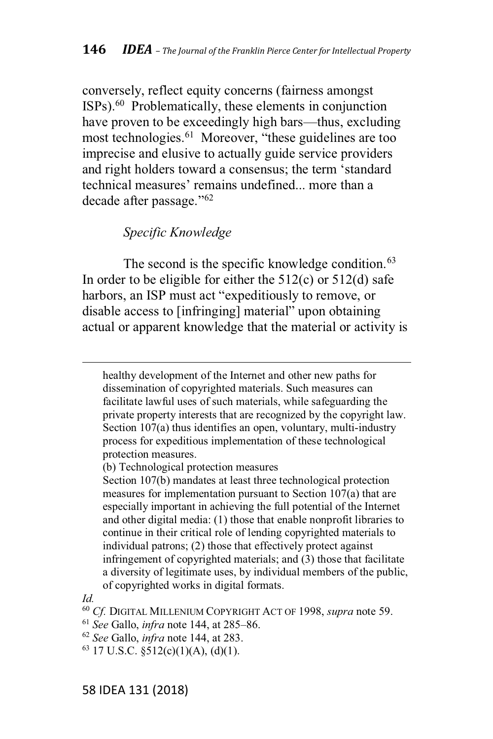conversely, reflect equity concerns (fairness amongst ISPs).60 Problematically, these elements in conjunction have proven to be exceedingly high bars—thus, excluding most technologies.<sup>61</sup> Moreover, "these guidelines are too imprecise and elusive to actually guide service providers and right holders toward a consensus; the term 'standard technical measures' remains undefined... more than a decade after passage." $62$ 

#### *Specific Knowledge*

The second is the specific knowledge condition.<sup>63</sup> In order to be eligible for either the  $512(c)$  or  $512(d)$  safe harbors, an ISP must act "expeditiously to remove, or disable access to [infringing] material" upon obtaining actual or apparent knowledge that the material or activity is

healthy development of the Internet and other new paths for dissemination of copyrighted materials. Such measures can facilitate lawful uses of such materials, while safeguarding the private property interests that are recognized by the copyright law. Section 107(a) thus identifies an open, voluntary, multi-industry process for expeditious implementation of these technological protection measures.

(b) Technological protection measures

Section 107(b) mandates at least three technological protection measures for implementation pursuant to Section 107(a) that are especially important in achieving the full potential of the Internet and other digital media: (1) those that enable nonprofit libraries to continue in their critical role of lending copyrighted materials to individual patrons; (2) those that effectively protect against infringement of copyrighted materials; and (3) those that facilitate a diversity of legitimate uses, by individual members of the public, of copyrighted works in digital formats.

*Id.*

<sup>60</sup> *Cf.* DIGITAL MILLENIUM COPYRIGHT ACT OF 1998, *supra* note 59.

<sup>&</sup>lt;sup>61</sup> See Gallo, *infra* note 144, at 285–86.

<sup>62</sup> *See* Gallo, *infra* note 144, at 283.

 $63$  17 U.S.C.  $$512(c)(1)(A), (d)(1)$ .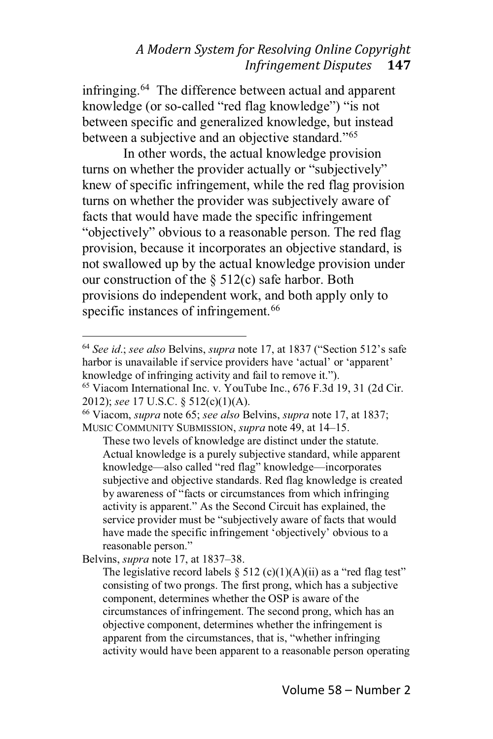infringing.64 The difference between actual and apparent knowledge (or so-called "red flag knowledge") "is not between specific and generalized knowledge, but instead between a subjective and an objective standard."<sup>65</sup>

In other words, the actual knowledge provision turns on whether the provider actually or "subjectively" knew of specific infringement, while the red flag provision turns on whether the provider was subjectively aware of facts that would have made the specific infringement "objectively" obvious to a reasonable person. The red flag provision, because it incorporates an objective standard, is not swallowed up by the actual knowledge provision under our construction of the  $\S$  512(c) safe harbor. Both provisions do independent work, and both apply only to specific instances of infringement.<sup>66</sup>

<sup>66</sup> Viacom, *supra* note 65; *see also* Belvins, *supra* note 17, at 1837; MUSIC COMMUNITY SUBMISSION, *supra* note 49, at 14-15.

These two levels of knowledge are distinct under the statute. Actual knowledge is a purely subjective standard, while apparent knowledge-also called "red flag" knowledge-incorporates subjective and objective standards. Red flag knowledge is created by awareness of "facts or circumstances from which infringing activity is apparent." As the Second Circuit has explained, the service provider must be "subjectively aware of facts that would have made the specific infringement 'objectively' obvious to a reasonable person."

Belvins, *supra* note 17, at 1837–38.

The legislative record labels  $\S$  512 (c)(1)(A)(ii) as a "red flag test" consisting of two prongs. The first prong, which has a subjective component, determines whether the OSP is aware of the circumstances of infringement. The second prong, which has an objective component, determines whether the infringement is apparent from the circumstances, that is, "whether infringing activity would have been apparent to a reasonable person operating

<sup>&</sup>lt;sup>64</sup> See *id.*; see also Belvins, *supra* note 17, at 1837 ("Section 512's safe harbor is unavailable if service providers have 'actual' or 'apparent' knowledge of infringing activity and fail to remove it.").

<sup>65</sup> Viacom International Inc. v. YouTube Inc., 676 F.3d 19, 31 (2d Cir. 2012); *see* 17 U.S.C. § 512(c)(1)(A).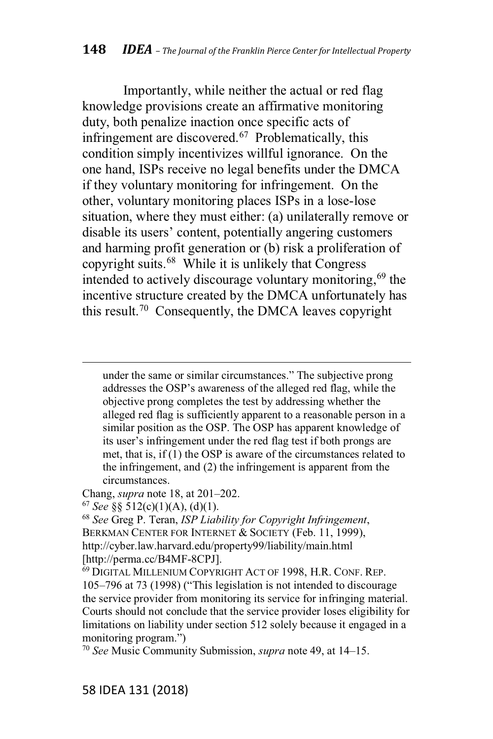Importantly, while neither the actual or red flag knowledge provisions create an affirmative monitoring duty, both penalize inaction once specific acts of infringement are discovered.<sup>67</sup> Problematically, this condition simply incentivizes willful ignorance. On the one hand, ISPs receive no legal benefits under the DMCA if they voluntary monitoring for infringement. On the other, voluntary monitoring places ISPs in a lose-lose situation, where they must either: (a) unilaterally remove or disable its users' content, potentially angering customers and harming profit generation or (b) risk a proliferation of copyright suits.68 While it is unlikely that Congress intended to actively discourage voluntary monitoring,  $69$  the incentive structure created by the DMCA unfortunately has this result.70 Consequently, the DMCA leaves copyright

under the same or similar circumstances." The subjective prong addresses the OSP's awareness of the alleged red flag, while the objective prong completes the test by addressing whether the alleged red flag is sufficiently apparent to a reasonable person in a similar position as the OSP. The OSP has apparent knowledge of its user's infringement under the red flag test if both prongs are met, that is, if (1) the OSP is aware of the circumstances related to the infringement, and (2) the infringement is apparent from the circumstances.

Chang, *supra* note 18, at 201-202.

<sup>67</sup> *See* §§ 512(c)(1)(A), (d)(1).

<sup>68</sup> *See* Greg P. Teran, *ISP Liability for Copyright Infringement*, BERKMAN CENTER FOR INTERNET & SOCIETY (Feb. 11, 1999), http://cyber.law.harvard.edu/property99/liability/main.html [http://perma.cc/B4MF-8CPJ].

<sup>69</sup> DIGITAL MILLENIUM COPYRIGHT ACT OF 1998, H.R. CONF. REP. 105–796 at 73 (1998) ("This legislation is not intended to discourage the service provider from monitoring its service for infringing material. Courts should not conclude that the service provider loses eligibility for limitations on liability under section 512 solely because it engaged in a monitoring program.")

<sup>70</sup> See Music Community Submission, *supra* note 49, at 14–15.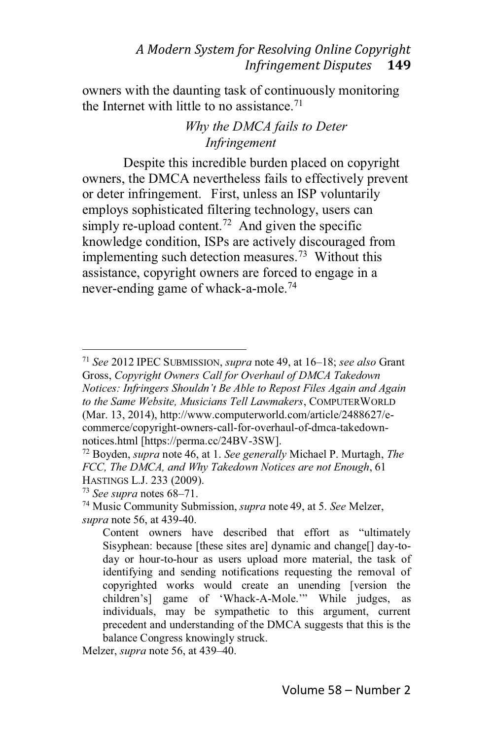owners with the daunting task of continuously monitoring the Internet with little to no assistance.<sup>71</sup>

# *Why the DMCA fails to Deter Infringement*

Despite this incredible burden placed on copyright owners, the DMCA nevertheless fails to effectively prevent or deter infringement. First, unless an ISP voluntarily employs sophisticated filtering technology, users can simply re-upload content.<sup>72</sup> And given the specific knowledge condition, ISPs are actively discouraged from implementing such detection measures.<sup>73</sup> Without this assistance, copyright owners are forced to engage in a never-ending game of whack-a-mole.74

<sup>&</sup>lt;sup>71</sup> See 2012 IPEC SUBMISSION, *supra* note 49, at 16-18; see also Grant Gross, *Copyright Owners Call for Overhaul of DMCA Takedown Notices: Infringers Shouldn't Be Able to Repost Files Again and Again to the Same Website, Musicians Tell Lawmakers*, COMPUTERWORLD (Mar. 13, 2014), http://www.computerworld.com/article/2488627/ecommerce/copyright-owners-call-for-overhaul-of-dmca-takedownnotices.html [https://perma.cc/24BV-3SW].

<sup>72</sup> Boyden, *supra* note 46, at 1. *See generally* Michael P. Murtagh, *The FCC, The DMCA, and Why Takedown Notices are not Enough*, 61 HASTINGS L.J. 233 (2009).

<sup>73</sup> *See supra* notes 68–71.

<sup>74</sup> Music Community Submission, *supra* note 49, at 5. *See* Melzer, *supra* note 56, at 439-40.

Content owners have described that effort as "ultimately Sisyphean: because [these sites are] dynamic and change[] day-today or hour-to-hour as users upload more material, the task of identifying and sending notifications requesting the removal of copyrighted works would create an unending [version the children's] game of 'Whack-A-Mole.'" While judges, as individuals, may be sympathetic to this argument, current precedent and understanding of the DMCA suggests that this is the balance Congress knowingly struck.

Melzer, *supra* note 56, at 439-40.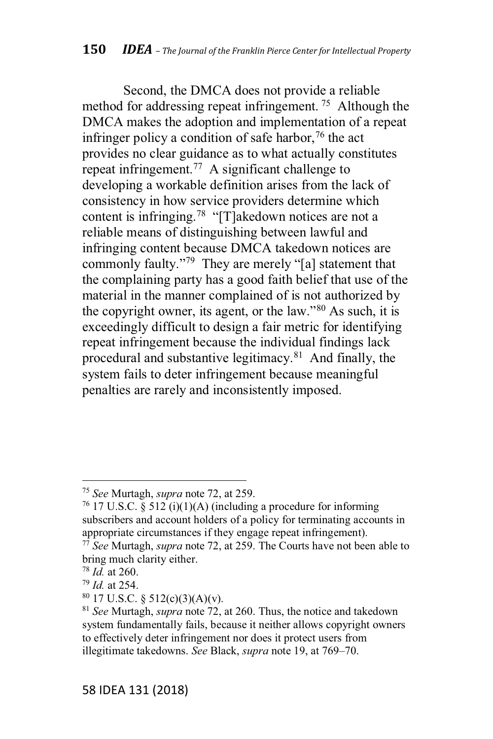Second, the DMCA does not provide a reliable method for addressing repeat infringement. <sup>75</sup> Although the DMCA makes the adoption and implementation of a repeat infringer policy a condition of safe harbor,  $76$  the act provides no clear guidance as to what actually constitutes repeat infringement.<sup>77</sup> A significant challenge to developing a workable definition arises from the lack of consistency in how service providers determine which content is infringing.<sup>78</sup> "[T]akedown notices are not a reliable means of distinguishing between lawful and infringing content because DMCA takedown notices are commonly faulty."<sup>79</sup> They are merely "[a] statement that the complaining party has a good faith belief that use of the material in the manner complained of is not authorized by the copyright owner, its agent, or the  $\text{law.}^{\prime\prime\,80}$  As such, it is exceedingly difficult to design a fair metric for identifying repeat infringement because the individual findings lack procedural and substantive legitimacy.81 And finally, the system fails to deter infringement because meaningful penalties are rarely and inconsistently imposed.

<sup>75</sup> *See* Murtagh, *supra* note 72, at 259.

 $76$  17 U.S.C. § 512 (i)(1)(A) (including a procedure for informing subscribers and account holders of a policy for terminating accounts in appropriate circumstances if they engage repeat infringement).

<sup>77</sup> *See* Murtagh, *supra* note 72, at 259. The Courts have not been able to bring much clarity either.

<sup>78</sup> *Id.* at 260.

<sup>79</sup> *Id.* at 254.

 $80$  17 U.S.C. § 512(c)(3)(A)(v).

<sup>81</sup> *See* Murtagh, *supra* note 72, at 260. Thus, the notice and takedown system fundamentally fails, because it neither allows copyright owners to effectively deter infringement nor does it protect users from illegitimate takedowns. *See* Black, *supra* note 19, at 769–70.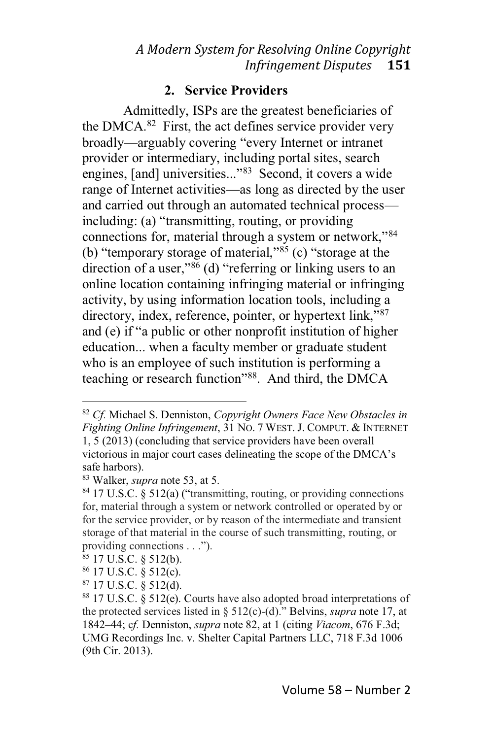# **2. Service Providers**

Admittedly, ISPs are the greatest beneficiaries of the DMCA. $82$  First, the act defines service provider very broadly—arguably covering "every Internet or intranet provider or intermediary, including portal sites, search engines, [and] universities..."<sup>83</sup> Second, it covers a wide range of Internet activities—as long as directed by the user and carried out through an automated technical process $including: (a)$  "transmitting, routing, or providing connections for, material through a system or network,"<sup>84</sup> (b) "temporary storage of material," $85$  (c) "storage at the direction of a user,<sup> $286$ </sup> (d) "referring or linking users to an online location containing infringing material or infringing activity, by using information location tools, including a directory, index, reference, pointer, or hypertext link,"<sup>87</sup> and (e) if "a public or other nonprofit institution of higher education... when a faculty member or graduate student who is an employee of such institution is performing a teaching or research function<sup>38</sup>. And third, the DMCA

- <sup>85</sup> 17 U.S.C. § 512(b).
- <sup>86</sup> 17 U.S.C. § 512(c).
- $87$  17 U.S.C. § 512(d).

<sup>82</sup> *Cf.* Michael S. Denniston, *Copyright Owners Face New Obstacles in Fighting Online Infringement*, 31 NO.7WEST. J. COMPUT.&INTERNET 1, 5 (2013) (concluding that service providers have been overall victorious in major court cases delineating the scope of the DMCA's safe harbors).

<sup>83</sup> Walker, *supra* note 53, at 5.

 $84$  17 U.S.C. § 512(a) ("transmitting, routing, or providing connections for, material through a system or network controlled or operated by or for the service provider, or by reason of the intermediate and transient storage of that material in the course of such transmitting, routing, or providing connections . . .").

<sup>88</sup> 17 U.S.C. § 512(e). Courts have also adopted broad interpretations of the protected services listed in § 512(c)-(d)." Belvins, *supra* note 17, at 1842A44; c*f.* Denniston, *supra* note 82, at 1 (citing *Viacom*, 676 F.3d; UMG Recordings Inc. v. Shelter Capital Partners LLC, 718 F.3d 1006 (9th Cir. 2013).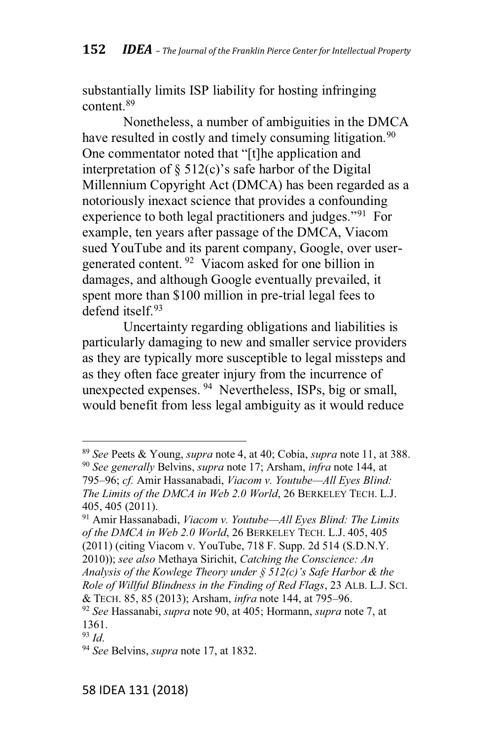substantially limits ISP liability for hosting infringing content.<sup>89</sup>

Nonetheless, a number of ambiguities in the DMCA have resulted in costly and timely consuming litigation.<sup>90</sup> One commentator noted that "[t]he application and interpretation of  $\S$  512(c)'s safe harbor of the Digital Millennium Copyright Act (DMCA) has been regarded as a notoriously inexact science that provides a confounding experience to both legal practitioners and judges."<sup>91</sup> For example, ten years after passage of the DMCA, Viacom sued YouTube and its parent company, Google, over usergenerated content. <sup>92</sup> Viacom asked for one billion in damages, and although Google eventually prevailed, it spent more than \$100 million in pre-trial legal fees to defend itself.<sup>93</sup>

Uncertainty regarding obligations and liabilities is particularly damaging to new and smaller service providers as they are typically more susceptible to legal missteps and as they often face greater injury from the incurrence of unexpected expenses. <sup>94</sup> Nevertheless, ISPs, big or small, would benefit from less legal ambiguity as it would reduce

<sup>89</sup> *See* Peets & Young, *supra* note 4, at 40; Cobia, *supra* note 11, at 388. <sup>90</sup> *See generally* Belvins, *supra* note 17; Arsham, *infra* note 144, at 795-96; *cf.* Amir Hassanabadi, *Viacom v. Youtube-All Eyes Blind: The Limits of the DMCA in Web 2.0 World*, 26 BERKELEY TECH. L.J. 405, 405 (2011).

<sup>91</sup> Amir Hassanabadi, *Viacom v. YoutubePAll Eyes Blind: The Limits of the DMCA in Web 2.0 World*, 26 BERKELEY TECH. L.J. 405, 405 (2011) (citing Viacom v. YouTube, 718 F. Supp. 2d 514 (S.D.N.Y. 2010)); *see also* Methaya Sirichit, *Catching the Conscience: An* Analysis of the Kowlege Theory under  $\S$  512(c)'s Safe Harbor & the *Role of Willful Blindness in the Finding of Red Flags*, 23 ALB. L.J. SCI. & TECH. 85, 85 (2013); Arsham, *infra* note 144, at 795-96.

<sup>92</sup> *See* Hassanabi, *supra* note 90, at 405; Hormann, *supra* note 7, at 1361.

<sup>93</sup> *Id*.

<sup>94</sup> *See* Belvins, *supra* note 17, at 1832.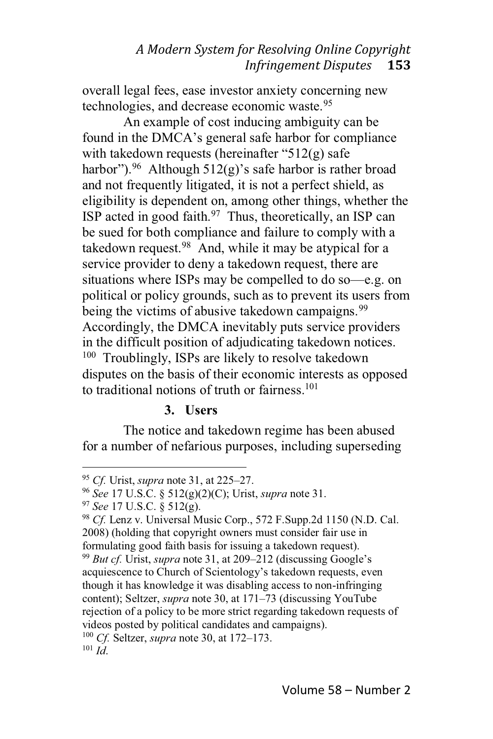overall legal fees, ease investor anxiety concerning new technologies, and decrease economic waste.<sup>95</sup>

An example of cost inducing ambiguity can be found in the DMCA's general safe harbor for compliance with takedown requests (hereinafter "512(g) safe harbor").<sup>96</sup> Although  $512(g)$ 's safe harbor is rather broad and not frequently litigated, it is not a perfect shield, as eligibility is dependent on, among other things, whether the ISP acted in good faith. $97$  Thus, theoretically, an ISP can be sued for both compliance and failure to comply with a takedown request. $98$  And, while it may be atypical for a service provider to deny a takedown request, there are situations where ISPs may be compelled to do so $-e.g.$  on political or policy grounds, such as to prevent its users from being the victims of abusive takedown campaigns.<sup>99</sup> Accordingly, the DMCA inevitably puts service providers in the difficult position of adjudicating takedown notices. <sup>100</sup> Troublingly, ISPs are likely to resolve takedown disputes on the basis of their economic interests as opposed to traditional notions of truth or fairness.<sup>101</sup>

#### **3. Users**

The notice and takedown regime has been abused for a number of nefarious purposes, including superseding

<sup>&</sup>lt;sup>95</sup> *Cf.* Urist, *supra* note 31, at 225–27.

<sup>96</sup> *See* 17 U.S.C. § 512(g)(2)(C); Urist, *supra* note 31.

<sup>97</sup> *See* 17 U.S.C. § 512(g).

<sup>98</sup> *Cf.* Lenz v. Universal Music Corp., 572 F.Supp.2d 1150 (N.D. Cal. 2008) (holding that copyright owners must consider fair use in formulating good faith basis for issuing a takedown request).

<sup>&</sup>lt;sup>99</sup> *But cf.* Urist, *supra* note 31, at 209–212 (discussing Google's acquiescence to Church of Scientology's takedown requests, even though it has knowledge it was disabling access to non-infringing content); Seltzer, *supra* note 30, at 171–73 (discussing YouTube rejection of a policy to be more strict regarding takedown requests of videos posted by political candidates and campaigns).

<sup>&</sup>lt;sup>100</sup> *Cf.* Seltzer, *supra* note 30, at 172–173.

 $101 \tilde{I}$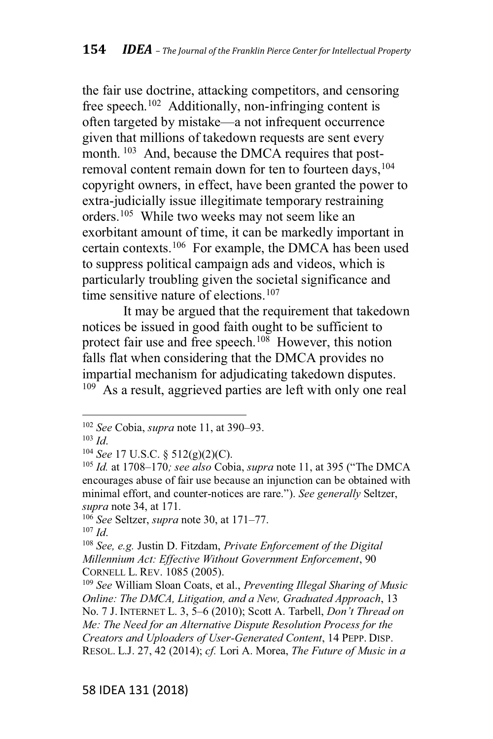the fair use doctrine, attacking competitors, and censoring free speech.<sup>102</sup> Additionally, non-infringing content is often targeted by mistake—a not infrequent occurrence given that millions of takedown requests are sent every month. <sup>103</sup> And, because the DMCA requires that postremoval content remain down for ten to fourteen days, 104 copyright owners, in effect, have been granted the power to extra-judicially issue illegitimate temporary restraining orders.105 While two weeks may not seem like an exorbitant amount of time, it can be markedly important in certain contexts.106 For example, the DMCA has been used to suppress political campaign ads and videos, which is particularly troubling given the societal significance and time sensitive nature of elections.<sup>107</sup>

It may be argued that the requirement that takedown notices be issued in good faith ought to be sufficient to protect fair use and free speech.<sup>108</sup> However, this notion falls flat when considering that the DMCA provides no impartial mechanism for adjudicating takedown disputes. <sup>109</sup> As a result, aggrieved parties are left with only one real

<sup>106</sup> *See* Seltzer, *supra* note 30, at 171–77.

<sup>&</sup>lt;sup>102</sup> *See* Cobia, *supra* note 11, at 390–93.

<sup>103</sup> *Id*.

<sup>104</sup> *See* 17 U.S.C. § 512(g)(2)(C).

<sup>&</sup>lt;sup>105</sup> *Id.* at 1708–170*; see also* Cobia, *supra* note 11, at 395 ("The DMCA encourages abuse of fair use because an injunction can be obtained with minimal effort, and counter-notices are rare."). See generally Seltzer, *supra* note 34, at 171*.*

<sup>107</sup> *Id*.

<sup>108</sup> *See, e.g.* Justin D. Fitzdam, *Private Enforcement of the Digital Millennium Act: Effective Without Government Enforcement*, 90 CORNELL L. REV. 1085 (2005).

<sup>109</sup> *See* William Sloan Coats, et al., *Preventing Illegal Sharing of Music Online: The DMCA, Litigation, and a New, Graduated Approach*, 13 No. 7 J. INTERNET L. 3, 5–6 (2010); Scott A. Tarbell, *Don't Thread on Me: The Need for an Alternative Dispute Resolution Process for the Creators and Uploaders of User-Generated Content*, 14 PEPP. DISP. RESOL. L.J. 27, 42 (2014); *cf.* Lori A. Morea, *The Future of Music in a*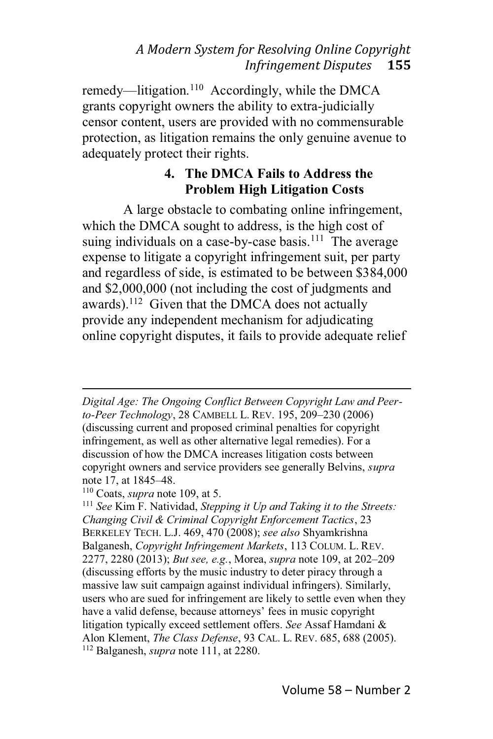remedy—litigation.<sup>110</sup> Accordingly, while the DMCA grants copyright owners the ability to extra-judicially censor content, users are provided with no commensurable protection, as litigation remains the only genuine avenue to adequately protect their rights.

# **4. The DMCA Fails to Address the Problem High Litigation Costs**

A large obstacle to combating online infringement, which the DMCA sought to address, is the high cost of suing individuals on a case-by-case basis.<sup>111</sup> The average expense to litigate a copyright infringement suit, per party and regardless of side, is estimated to be between \$384,000 and \$2,000,000 (not including the cost of judgments and awards).<sup>112</sup> Given that the DMCA does not actually provide any independent mechanism for adjudicating online copyright disputes, it fails to provide adequate relief

*Digital Age: The Ongoing Conflict Between Copyright Law and Peer*to-Peer Technology, 28 CAMBELL L. REV. 195, 209-230 (2006) (discussing current and proposed criminal penalties for copyright infringement, as well as other alternative legal remedies). For a discussion of how the DMCA increases litigation costs between copyright owners and service providers see generally Belvins, *supra* note 17, at 1845–48.

<sup>110</sup> Coats, *supra* note 109, at 5.

<sup>111</sup> *See* Kim F. Natividad, *Stepping it Up and Taking it to the Streets: Changing Civil & Criminal Copyright Enforcement Tactics*, 23 BERKELEY TECH. L.J. 469, 470 (2008); *see also* Shyamkrishna Balganesh, *Copyright Infringement Markets*, 113 COLUM. L. REV. 2277, 2280 (2013); *But see, e.g.*, Morea, *supra* note 109, at 202-209 (discussing efforts by the music industry to deter piracy through a massive law suit campaign against individual infringers). Similarly, users who are sued for infringement are likely to settle even when they have a valid defense, because attorneys' fees in music copyright litigation typically exceed settlement offers. *See* Assaf Hamdani & Alon Klement, *The Class Defense*, 93 CAL. L. REV. 685, 688 (2005). <sup>112</sup> Balganesh, *supra* note 111, at 2280.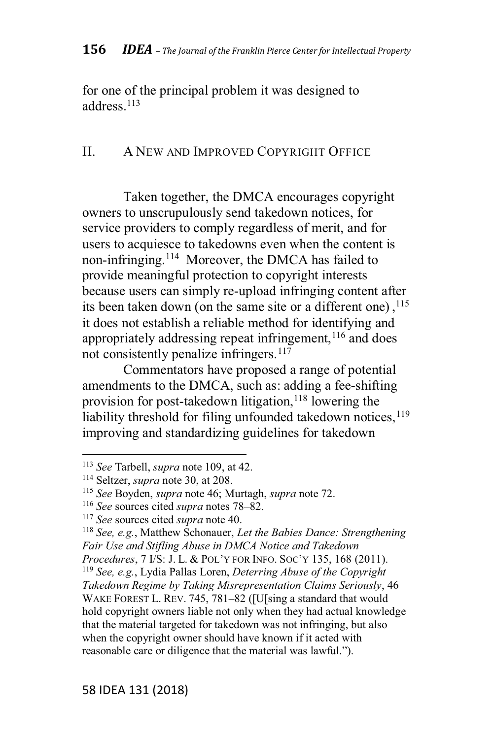for one of the principal problem it was designed to address<sup>113</sup>

### II. A NEW AND IMPROVED COPYRIGHT OFFICE

Taken together, the DMCA encourages copyright owners to unscrupulously send takedown notices, for service providers to comply regardless of merit, and for users to acquiesce to takedowns even when the content is non-infringing.114 Moreover, the DMCA has failed to provide meaningful protection to copyright interests because users can simply re-upload infringing content after its been taken down (on the same site or a different one),  $^{115}$ it does not establish a reliable method for identifying and appropriately addressing repeat infringement,  $116$  and does not consistently penalize infringers.<sup>117</sup>

Commentators have proposed a range of potential amendments to the DMCA, such as: adding a fee-shifting provision for post-takedown litigation,  $118$  lowering the liability threshold for filing unfounded takedown notices, $119$ improving and standardizing guidelines for takedown

<sup>118</sup> *See, e.g.*, Matthew Schonauer, *Let the Babies Dance: Strengthening Fair Use and Stifling Abuse in DMCA Notice and Takedown Procedures*, 7 I/S: J. L. & POL'Y FOR INFO. SOC'Y 135, 168 (2011). <sup>119</sup> *See, e.g.*, Lydia Pallas Loren, *Deterring Abuse of the Copyright Takedown Regime by Taking Misrepresentation Claims Seriously*, 46 WAKE FOREST L. REV. 745, 781-82 ([U[sing a standard that would hold copyright owners liable not only when they had actual knowledge that the material targeted for takedown was not infringing, but also when the copyright owner should have known if it acted with reasonable care or diligence that the material was lawful.").

<sup>113</sup> *See* Tarbell, *supra* note 109, at 42.

<sup>114</sup> Seltzer, *supra* note 30, at 208.

<sup>115</sup> *See* Boyden, *supra* note 46; Murtagh, *supra* note 72.

<sup>&</sup>lt;sup>116</sup> *See* sources cited *supra* notes 78–82.

<sup>117</sup> *See* sources cited *supra* note 40.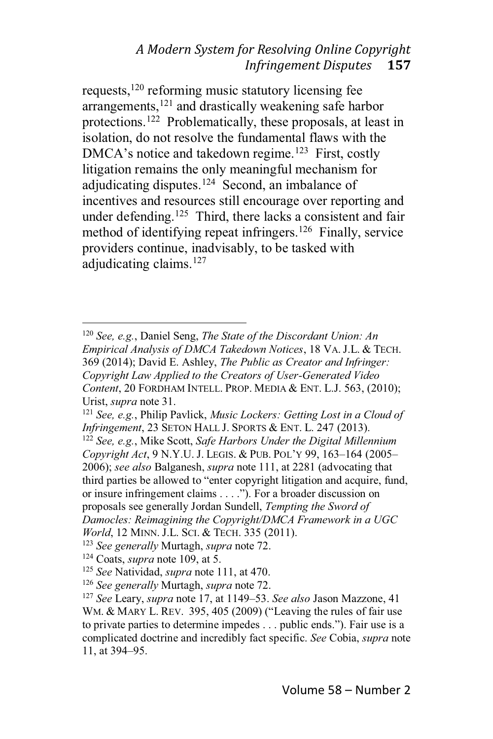requests,<sup>120</sup> reforming music statutory licensing fee arrangements, $121$  and drastically weakening safe harbor protections.122 Problematically, these proposals, at least in isolation, do not resolve the fundamental flaws with the  $DMCA's$  notice and takedown regime.<sup>123</sup> First, costly litigation remains the only meaningful mechanism for adjudicating disputes.<sup>124</sup> Second, an imbalance of incentives and resources still encourage over reporting and under defending.<sup>125</sup> Third, there lacks a consistent and fair method of identifying repeat infringers.126 Finally, service providers continue, inadvisably, to be tasked with adjudicating claims.<sup>127</sup>

<sup>120</sup> *See, e.g.*, Daniel Seng, *The State of the Discordant Union: An Empirical Analysis of DMCA Takedown Notices*, 18 VA. J.L.&TECH. 369 (2014); David E. Ashley, *The Public as Creator and Infringer: Copyright Law Applied to the Creators of User-Generated Video Content*, 20 FORDHAM INTELL. PROP. MEDIA & ENT. L.J. 563, (2010); Urist, *supra* note 31.

<sup>121</sup> *See, e.g.*, Philip Pavlick, *Music Lockers: Getting Lost in a Cloud of Infringement*, 23 SETON HALL J. SPORTS & ENT. L. 247 (2013). <sup>122</sup> *See, e.g.*, Mike Scott, *Safe Harbors Under the Digital Millennium* Copyright *Act*, 9 N.Y.U. J. LEGIS. & PUB. POL'Y 99, 163-164 (2005-2006); *see also* Balganesh, *supra* note 111, at 2281 (advocating that

third parties be allowed to "enter copyright litigation and acquire, fund, or insure infringement claims  $\dots$ ."). For a broader discussion on proposals see generally Jordan Sundell, *Tempting the Sword of Damocles: Reimagining the Copyright/DMCA Framework in a UGC*

*World*, 12 MINN. J.L. SCI. & TECH. 335 (2011).

<sup>123</sup> *See generally* Murtagh, *supra* note 72.

<sup>124</sup> Coats, *supra* note 109, at 5.

<sup>125</sup> *See* Natividad, *supra* note 111, at 470.

<sup>126</sup> *See generally* Murtagh, *supra* note 72.

<sup>&</sup>lt;sup>127</sup> See Leary, *supra* note 17, at 1149–53. *See also* Jason Mazzone, 41 WM. & MARY L. REV. 395, 405 (2009) ("Leaving the rules of fair use to private parties to determine impedes . . . public ends."). Fair use is a complicated doctrine and incredibly fact specific. *See* Cobia, *supra* note 11, at 394–95.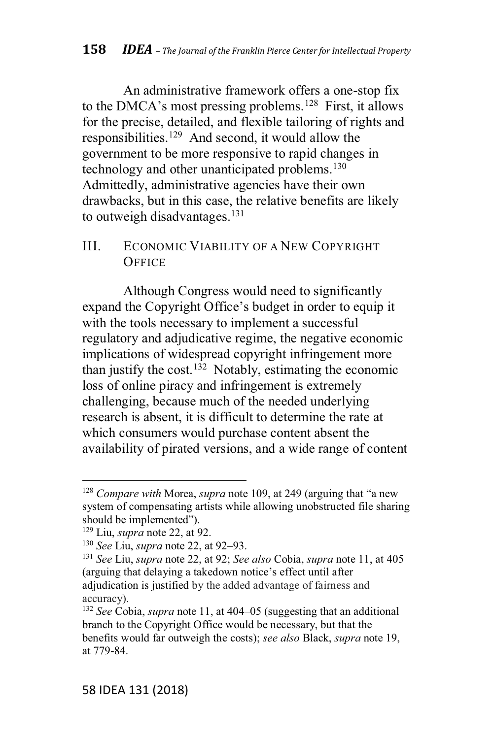An administrative framework offers a one-stop fix to the DMCA's most pressing problems.<sup>128</sup> First, it allows for the precise, detailed, and flexible tailoring of rights and responsibilities.<sup>129</sup> And second, it would allow the government to be more responsive to rapid changes in technology and other unanticipated problems.<sup>130</sup> Admittedly, administrative agencies have their own drawbacks, but in this case, the relative benefits are likely to outweigh disadvantages.<sup>131</sup>

#### III. ECONOM IC VIABILITY OF A NEW COPYRIGHT **OFFICE**

Although Congress would need to significantly expand the Copyright Office's budget in order to equip it with the tools necessary to implement a successful regulatory and adjudicative regime, the negative economic implications of widespread copyright infringement more than justify the cost.<sup>132</sup> Notably, estimating the economic loss of online piracy and infringement is extremely challenging, because much of the needed underlying research is absent, it is difficult to determine the rate at which consumers would purchase content absent the availability of pirated versions, and a wide range of content

<sup>&</sup>lt;sup>128</sup> Compare with Morea, *supra* note 109, at 249 (arguing that "a new system of compensating artists while allowing unobstructed file sharing should be implemented").

<sup>129</sup> Liu, *supra* note 22, at 92.

<sup>&</sup>lt;sup>130</sup> *See* Liu, *supra* note 22, at 92–93.

<sup>131</sup> *See* Liu, *supra* note 22, at 92; *See also* Cobia, *supra* note 11, at 405 (arguing that delaying a takedown notice's effect until after adjudication is justified by the added advantage of fairness and accuracy).

<sup>&</sup>lt;sup>132</sup> *See* Cobia, *supra* note 11, at 404–05 (suggesting that an additional branch to the Copyright Office would be necessary, but that the benefits would far outweigh the costs); *see also* Black, *supra* note 19, at 779-84.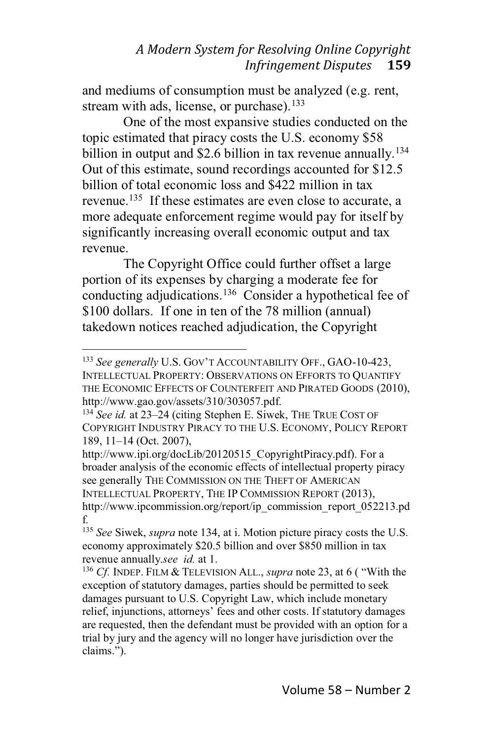and mediums of consumption must be analyzed (e.g. rent, stream with ads, license, or purchase). $133$ 

One of the most expansive studies conducted on the topic estimated that piracy costs the U.S. economy \$58 billion in output and \$2.6 billion in tax revenue annually.<sup>134</sup> Out of this estimate, sound recordings accounted for \$12.5 billion of total economic loss and \$422 million in tax revenue.<sup>135</sup> If these estimates are even close to accurate, a more adequate enforcement regime would pay for itself by significantly increasing overall economic output and tax revenue.

The Copyright Office could further offset a large portion of its expenses by charging a moderate fee for conducting adjudications.136 Consider a hypothetical fee of \$100 dollars. If one in ten of the 78 million (annual) takedown notices reached adjudication, the Copyright

http://www.ipi.org/docLib/20120515\_CopyrightPiracy.pdf). For a broader analysis of the economic effects of intellectual property piracy see generally THE COMMISSION ON THE THEFT OF AMERICAN INTELLECTUAL PROPERTY, THE IP COMMISSION REPORT (2013), http://www.ipcommission.org/report/ip\_commission\_report\_052213.pd f.

<sup>133</sup> See generally U.S. GOV'T ACCOUNTABILITY OFF., GAO-10-423, INTELLECTUAL PROPERTY: OBSERVATIONS ON EFFORTS TO QUANTIFY THE ECONOMIC EFFECTS OF COUNTERFEIT AND PIRATED GOODS (2010), http://www.gao.gov/assets/310/303057.pdf.

<sup>&</sup>lt;sup>134</sup> See id. at 23-24 (citing Stephen E. Siwek, THE TRUE COST OF COPYRIGHT INDUSTRY PIRACY TO THE U.S. ECONOMY, POLICY REPORT 189, 11–14 (Oct. 2007),

<sup>135</sup> *See* Siwek, *supra* note 134, at i. Motion picture piracy costs the U.S. economy approximately \$20.5 billion and over \$850 million in tax revenue annually.*see id.* at 1.

<sup>&</sup>lt;sup>136</sup> *Cf.* INDEP. FILM & TELEVISION ALL., *supra* note 23, at 6 ("With the exception of statutory damages, parties should be permitted to seek damages pursuant to U.S. Copyright Law, which include monetary relief, injunctions, attorneys' fees and other costs. If statutory damages are requested, then the defendant must be provided with an option for a trial by jury and the agency will no longer have jurisdiction over the claims.").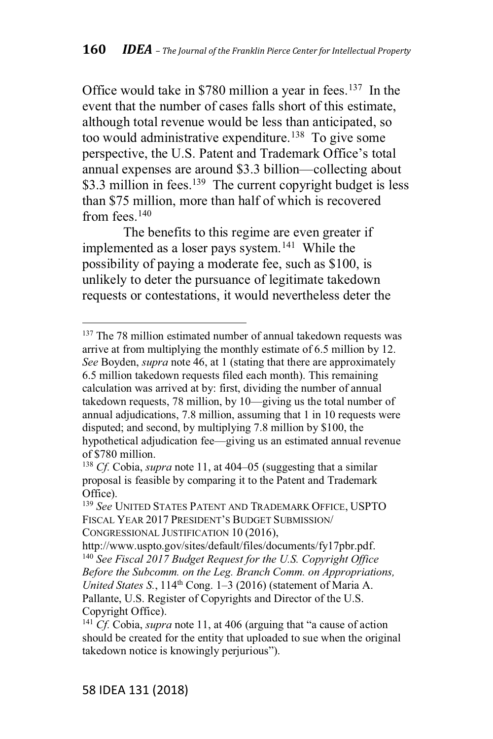Office would take in \$780 million a year in fees.<sup>137</sup> In the event that the number of cases falls short of this estimate, although total revenue would be less than anticipated, so too would administrative expenditure.<sup>138</sup> To give some perspective, the U.S. Patent and Trademark Office's total annual expenses are around \$3.3 billion—collecting about \$3.3 million in fees.<sup>139</sup> The current copyright budget is less than \$75 million, more than half of which is recovered from fees  $140$ 

The benefits to this regime are even greater if implemented as a loser pays system.141 While the possibility of paying a moderate fee, such as \$100, is unlikely to deter the pursuance of legitimate takedown requests or contestations, it would nevertheless deter the

<sup>&</sup>lt;sup>137</sup> The 78 million estimated number of annual takedown requests was arrive at from multiplying the monthly estimate of 6.5 million by 12. *See* Boyden, *supra* note 46, at 1 (stating that there are approximately 6.5 million takedown requests filed each month). This remaining calculation was arrived at by: first, dividing the number of annual takedown requests, 78 million, by  $10$ —giving us the total number of annual adjudications, 7.8 million, assuming that 1 in 10 requests were disputed; and second, by multiplying 7.8 million by \$100, the hypothetical adjudication fee-giving us an estimated annual revenue of \$780 million.

<sup>&</sup>lt;sup>138</sup> *Cf.* Cobia, *supra* note 11, at 404-05 (suggesting that a similar proposal is feasible by comparing it to the Patent and Trademark Office).

<sup>139</sup> *See* UNITED STATES PATENT AND TRADEMARK OFFICE, USPTO FISCAL YEAR 2017 PRESIDENT'S BUDGET SUBMISSION/ CONGRESSIONAL JUSTIFICATION 10 (2016),

http://www.uspto.gov/sites/default/files/documents/fy17pbr.pdf. <sup>140</sup> *See Fiscal 2017 Budget Request for the U.S. Copyright Office Before the Subcomm. on the Leg. Branch Comm. on Appropriations, United States S.*, 114<sup>th</sup> Cong. 1–3 (2016) (statement of Maria A. Pallante, U.S. Register of Copyrights and Director of the U.S. Copyright Office).

<sup>&</sup>lt;sup>141</sup> *Cf.* Cobia, *supra* note 11, at 406 (arguing that "a cause of action should be created for the entity that uploaded to sue when the original takedown notice is knowingly perjurious").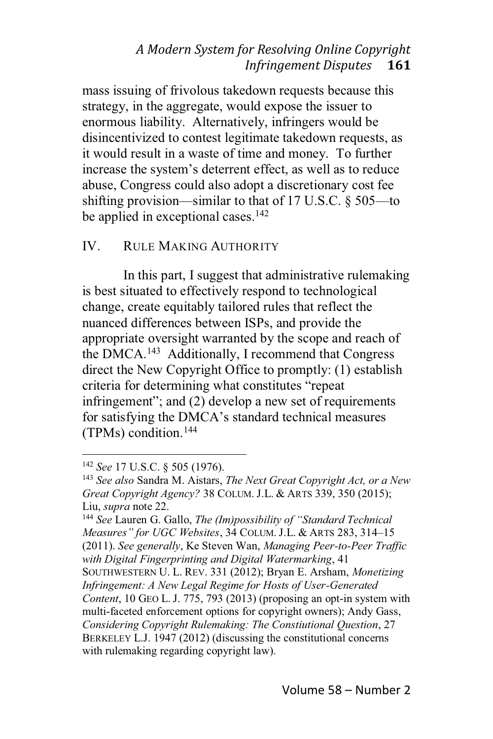mass issuing of frivolous takedown requests because this strategy, in the aggregate, would expose the issuer to enormous liability. Alternatively, infringers would be disincentivized to contest legitimate takedown requests, as it would result in a waste of time and money. To further increase the system's deterrent effect, as well as to reduce abuse, Congress could also adopt a discretionary cost fee shifting provision—similar to that of 17 U.S.C.  $\S$  505—to be applied in exceptional cases. $142$ 

#### IV. RULE MAKING AUTHORITY

In this part, I suggest that administrative rulemaking is best situated to effectively respond to technological change, create equitably tailored rules that reflect the nuanced differences between ISPs, and provide the appropriate oversight warranted by the scope and reach of the DMCA.143 Additionally, I recommend that Congress direct the New Copyright Office to promptly: (1) establish criteria for determining what constitutes "repeat infringement"; and  $(2)$  develop a new set of requirements for satisfying the DMCA's standard technical measures (TPMs) condition.144

<sup>144</sup> See Lauren G. Gallo, *The (Im)possibility of "Standard Technical Measures" for UGC Websites, 34 COLUM. J.L. & ARTS 283, 314-15* (2011). *See generally*, Ke Steven Wan, *Managing Peer-to-Peer Traffic with Digital Fingerprinting and Digital Watermarking*, 41 SOUTHWESTERN U. L. REV. 331 (2012); Bryan E. Arsham, *Monetizing Infringement: A New Legal Regime for Hosts of User-Generated Content*, 10 GEO L. J. 775, 793 (2013) (proposing an opt-in system with multi-faceted enforcement options for copyright owners); Andy Gass, *Considering Copyright Rulemaking: The Constiutional Question*, 27 BERKELEY L.J. 1947 (2012) (discussing the constitutional concerns with rulemaking regarding copyright law).

<sup>142</sup> *See* 17 U.S.C. § 505 (1976).

<sup>143</sup> *See also* Sandra M. Aistars, *The Next Great Copyright Act, or a New Great Copyright Agency?* 38 COLUM. J.L.&ARTS 339, 350 (2015); Liu, *supra* note 22.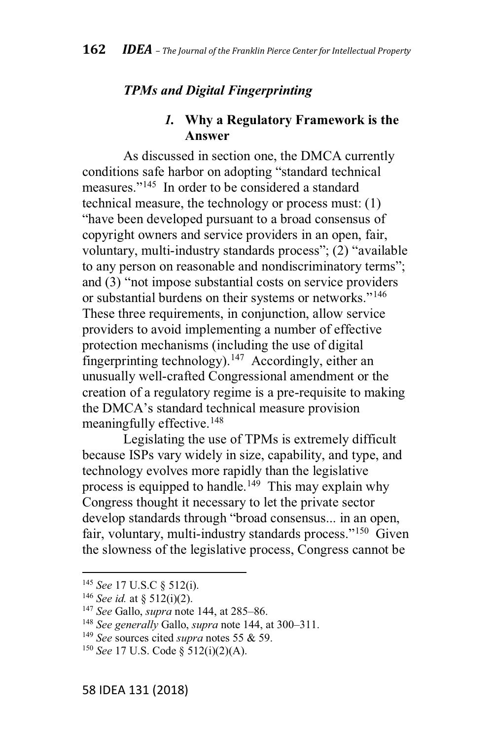#### *TPMs and Digital Fingerprinting*

### *1.* **Why a Regulatory Framework is the Answer**

As discussed in section one, the DMCA currently conditions safe harbor on adopting "standard technical measures."<sup>145</sup> In order to be considered a standard technical measure, the technology or process must: (1) "have been developed pursuant to a broad consensus of copyright owners and service providers in an open, fair, voluntary, multi-industry standards process"; (2) "available to any person on reasonable and nondiscriminatory terms"; and  $(3)$  "not impose substantial costs on service providers or substantial burdens on their systems or networks."<sup>146</sup> These three requirements, in conjunction, allow service providers to avoid implementing a number of effective protection mechanisms (including the use of digital fingerprinting technology).<sup>147</sup> Accordingly, either an unusually well-crafted Congressional amendment or the creation of a regulatory regime is a pre-requisite to making the DMCA's standard technical measure provision meaningfully effective.<sup>148</sup>

Legislating the use of TPMs is extremely difficult because ISPs vary widely in size, capability, and type, and technology evolves more rapidly than the legislative process is equipped to handle.<sup>149</sup> This may explain why Congress thought it necessary to let the private sector develop standards through "broad consensus... in an open. fair, voluntary, multi-industry standards process."<sup>150</sup> Given the slowness of the legislative process, Congress cannot be

<sup>145</sup> *See* 17 U.S.C § 512(i).

<sup>146</sup> *See id.* at § 512(i)(2).

<sup>&</sup>lt;sup>147</sup> See Gallo, *supra* note 144, at 285–86.

<sup>&</sup>lt;sup>148</sup> See generally Gallo, *supra* note 144, at 300-311.

<sup>149</sup> *See* sources cited *supra* notes 55 & 59.

<sup>150</sup> *See* 17 U.S. Code § 512(i)(2)(A).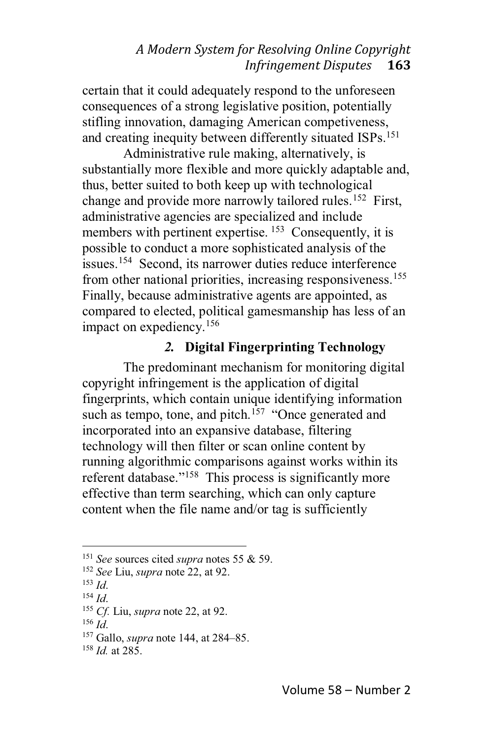certain that it could adequately respond to the unforeseen consequences of a strong legislative position, potentially stifling innovation, damaging American competiveness, and creating inequity between differently situated ISPs.<sup>151</sup>

Administrative rule making, alternatively, is substantially more flexible and more quickly adaptable and, thus, better suited to both keep up with technological change and provide more narrowly tailored rules.<sup>152</sup> First, administrative agencies are specialized and include members with pertinent expertise.  $153$  Consequently, it is possible to conduct a more sophisticated analysis of the issues.<sup>154</sup> Second, its narrower duties reduce interference from other national priorities, increasing responsiveness.<sup>155</sup> Finally, because administrative agents are appointed, as compared to elected, political gamesmanship has less of an impact on expediency.156

# *2.* **Digital Fingerprinting Technology**

The predominant mechanism for monitoring digital copyright infringement is the application of digital fingerprints, which contain unique identifying information such as tempo, tone, and pitch.<sup>157</sup> "Once generated and incorporated into an expansive database, filtering technology will then filter or scan online content by running algorithmic comparisons against works within its referent database."<sup>158</sup> This process is significantly more effective than term searching, which can only capture content when the file name and/or tag is sufficiently

<sup>151</sup> *See* sources cited *supra* notes 55 & 59.

<sup>152</sup> *See* Liu, *supra* note 22, at 92.

<sup>153</sup> *Id*.

<sup>154</sup> *Id*.

<sup>155</sup> *Cf.* Liu, *supra* note 22, at 92.

<sup>156</sup> *Id*.

<sup>&</sup>lt;sup>157</sup> Gallo, *supra* note 144, at 284–85.

<sup>158</sup> *Id.* at 285.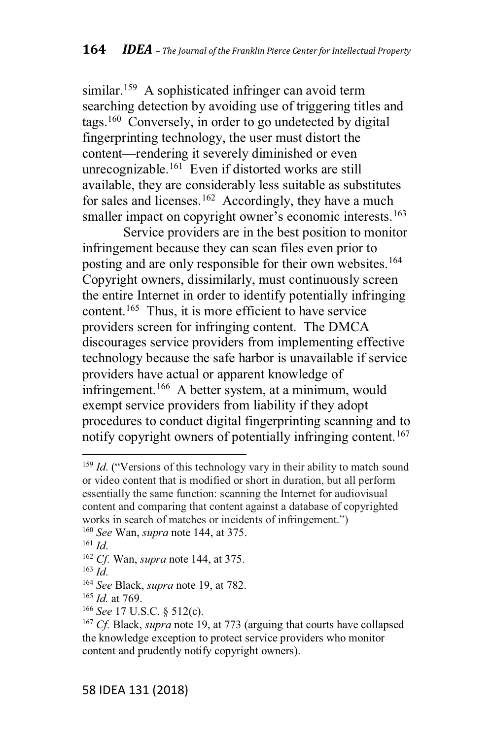similar.<sup>159</sup> A sophisticated infringer can avoid term searching detection by avoiding use of triggering titles and tags.160 Conversely, in order to go undetected by digital fingerprinting technology, the user must distort the content—rendering it severely diminished or even unrecognizable.<sup>161</sup> Even if distorted works are still available, they are considerably less suitable as substitutes for sales and licenses.<sup>162</sup> Accordingly, they have a much smaller impact on copyright owner's economic interests.<sup>163</sup>

Service providers are in the best position to monitor infringement because they can scan files even prior to posting and are only responsible for their own websites.<sup>164</sup> Copyright owners, dissimilarly, must continuously screen the entire Internet in order to identify potentially infringing content.165 Thus, it is more efficient to have service providers screen for infringing content. The DMCA discourages service providers from implementing effective technology because the safe harbor is unavailable if service providers have actual or apparent knowledge of infringement.166 A better system, at a minimum, would exempt service providers from liability if they adopt procedures to conduct digital fingerprinting scanning and to notify copyright owners of potentially infringing content.<sup>167</sup>

<sup>&</sup>lt;sup>159</sup> *Id.* ("Versions of this technology vary in their ability to match sound or video content that is modified or short in duration, but all perform essentially the same function: scanning the Internet for audiovisual content and comparing that content against a database of copyrighted works in search of matches or incidents of infringement.") <sup>160</sup> *See* Wan, *supra* note 144, at 375.

<sup>161</sup> *Id*.

<sup>162</sup> *Cf.* Wan, *supra* note 144, at 375.

<sup>163</sup> *Id*.

<sup>164</sup> *See* Black, *supra* note 19, at 782.

<sup>165</sup> *Id.* at 769.

<sup>166</sup> *See* 17 U.S.C. § 512(c).

<sup>167</sup> *Cf.* Black, *supra* note 19, at 773 (arguing that courts have collapsed the knowledge exception to protect service providers who monitor content and prudently notify copyright owners).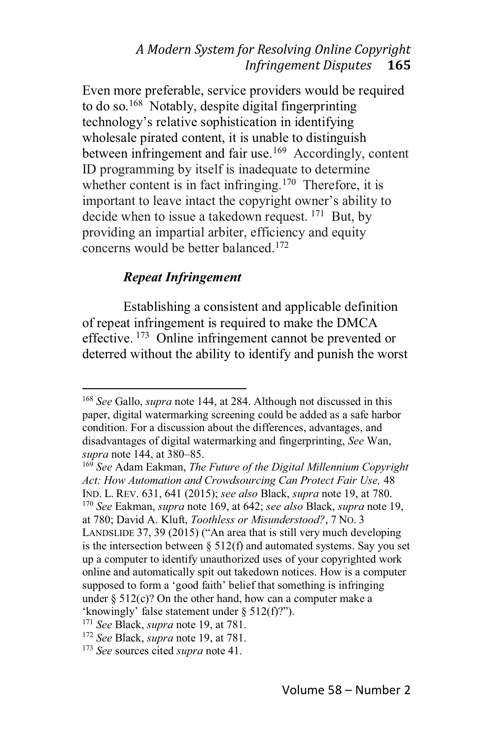Even more preferable, service providers would be required to do so.<sup>168</sup> Notably, despite digital fingerprinting technology's relative sophistication in identifying wholesale pirated content, it is unable to distinguish between infringement and fair use.<sup>169</sup> Accordingly, content ID programming by itself is inadequate to determine whether content is in fact infringing.<sup>170</sup> Therefore, it is important to leave intact the copyright owner's ability to decide when to issue a takedown request. <sup>171</sup> But, by providing an impartial arbiter, efficiency and equity concerns would be better balanced.172

### *Repeat Infringement*

Establishing a consistent and applicable definition of repeat infringement is required to make the DMCA effective. <sup>173</sup> Online infringement cannot be prevented or deterred without the ability to identify and punish the worst

<sup>168</sup> *See* Gallo, *supra* note 144, at 284. Although not discussed in this paper, digital watermarking screening could be added as a safe harbor condition. For a discussion about the differences, advantages, and disadvantages of digital watermarking and fingerprinting, *See* Wan, *supra* note 144, at 380–85.

<sup>169</sup> *See* Adam Eakman, *The Future of the Digital Millennium Copyright Act: How Automation and Crowdsourcing Can Protect Fair Use,* 48 IND. L. REV. 631, 641 (2015); *see also* Black, *supra* note 19, at 780. <sup>170</sup> *See* Eakman, *supra* note 169, at 642; *see also* Black, *supra* note 19, at 780; David A. Kluft, *Toothless or Misunderstood?*, 7 NO. 3 LANDSLIDE 37, 39 (2015) ("An area that is still very much developing is the intersection between § 512(f) and automated systems. Say you set up a computer to identify unauthorized uses of your copyrighted work online and automatically spit out takedown notices. How is a computer supposed to form a 'good faith' belief that something is infringing under  $\S$  512(c)? On the other hand, how can a computer make a 'knowingly' false statement under  $\S 512(f)$ ?").

<sup>171</sup> *See* Black, *supra* note 19, at 781.

<sup>172</sup> *See* Black, *supra* note 19, at 781.

<sup>173</sup> *See* sources cited *supra* note 41.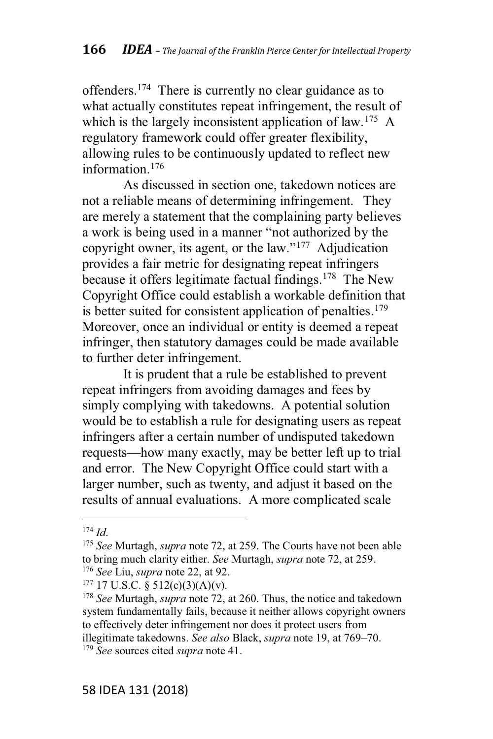offenders.174 There is currently no clear guidance as to what actually constitutes repeat infringement, the result of which is the largely inconsistent application of law.<sup>175</sup> A regulatory framework could offer greater flexibility, allowing rules to be continuously updated to reflect new information.176

As discussed in section one, takedown notices are not a reliable means of determining infringement. They are merely a statement that the complaining party believes a work is being used in a manner "not authorized by the copyright owner, its agent, or the law."<sup>177</sup> Adjudication provides a fair metric for designating repeat infringers because it offers legitimate factual findings.<sup>178</sup> The New Copyright Office could establish a workable definition that is better suited for consistent application of penalties.<sup>179</sup> Moreover, once an individual or entity is deemed a repeat infringer, then statutory damages could be made available to further deter infringement.

It is prudent that a rule be established to prevent repeat infringers from avoiding damages and fees by simply complying with takedowns. A potential solution would be to establish a rule for designating users as repeat infringers after a certain number of undisputed takedown requests—how many exactly, may be better left up to trial and error. The New Copyright Office could start with a larger number, such as twenty, and adjust it based on the results of annual evaluations. A more complicated scale

<sup>174</sup> *Id*.

<sup>175</sup> *See* Murtagh, *supra* note 72, at 259. The Courts have not been able to bring much clarity either. *See* Murtagh, *supra* note 72, at 259. <sup>176</sup> *See* Liu, *supra* note 22, at 92.

 $177$  17 U.S.C. § 512(c)(3)(A)(v).

<sup>178</sup> *See* Murtagh, *supra* note 72, at 260. Thus, the notice and takedown system fundamentally fails, because it neither allows copyright owners to effectively deter infringement nor does it protect users from illegitimate takedowns. *See also* Black, *supra* note 19, at 769–70. <sup>179</sup> *See* sources cited *supra* note 41.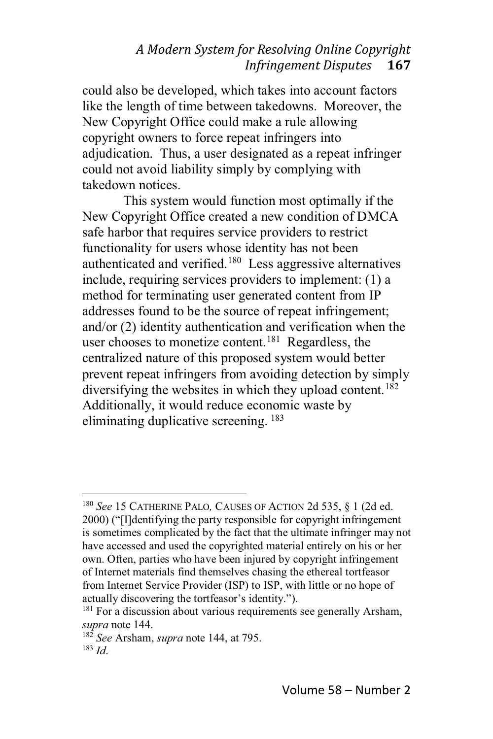could also be developed, which takes into account factors like the length of time between takedowns. Moreover, the New Copyright Office could make a rule allowing copyright owners to force repeat infringers into adjudication. Thus, a user designated as a repeat infringer could not avoid liability simply by complying with takedown notices.

This system would function most optimally if the New Copyright Office created a new condition of DMCA safe harbor that requires service providers to restrict functionality for users whose identity has not been authenticated and verified.<sup>180</sup> Less aggressive alternatives include, requiring services providers to implement: (1) a method for terminating user generated content from IP addresses found to be the source of repeat infringement; and/or (2) identity authentication and verification when the user chooses to monetize content.<sup>181</sup> Regardless, the centralized nature of this proposed system would better prevent repeat infringers from avoiding detection by simply diversifying the websites in which they upload content.<sup>182</sup> Additionally, it would reduce economic waste by eliminating duplicative screening. <sup>183</sup>

<sup>180</sup> *See* 15 CATHERINE PALO*,* CAUSES OF ACTION 2d 535, § 1 (2d ed. 2000) ("[I]dentifying the party responsible for copyright infringement is sometimes complicated by the fact that the ultimate infringer may not have accessed and used the copyrighted material entirely on his or her own. Often, parties who have been injured by copyright infringement of Internet materials find themselves chasing the ethereal tortfeasor from Internet Service Provider (ISP) to ISP, with little or no hope of actually discovering the tortfeasor's identity.").

<sup>&</sup>lt;sup>181</sup> For a discussion about various requirements see generally Arsham, *supra* note 144.

<sup>182</sup> *See* Arsham, *supra* note 144, at 795. <sup>183</sup> *Id*.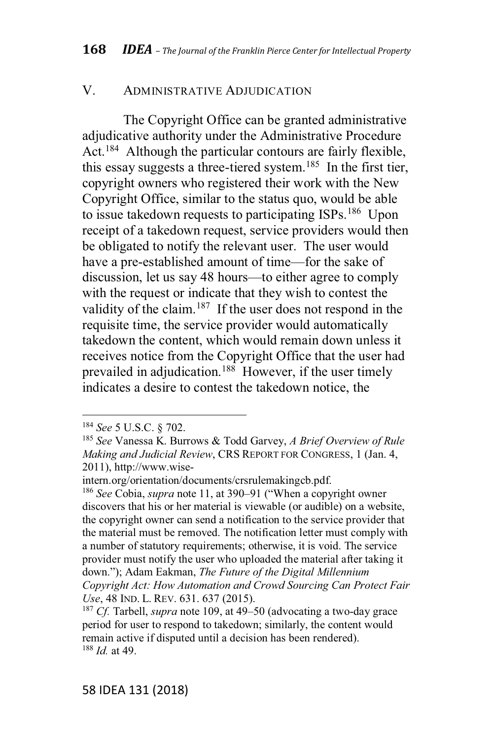#### V. ADMINISTRATIVE ADJUDICATION

The Copyright Office can be granted administrative adjudicative authority under the Administrative Procedure Act.<sup>184</sup> Although the particular contours are fairly flexible, this essay suggests a three-tiered system.<sup>185</sup> In the first tier, copyright owners who registered their work with the New Copyright Office, similar to the status quo, would be able to issue takedown requests to participating ISPs.<sup>186</sup> Upon receipt of a takedown request, service providers would then be obligated to notify the relevant user. The user would have a pre-established amount of time—for the sake of discussion, let us say 48 hours—to either agree to comply with the request or indicate that they wish to contest the validity of the claim.<sup>187</sup> If the user does not respond in the requisite time, the service provider would automatically takedown the content, which would remain down unless it receives notice from the Copyright Office that the user had prevailed in adjudication.<sup>188</sup> However, if the user timely indicates a desire to contest the takedown notice, the

intern.org/orientation/documents/crsrulemakingcb.pdf.

<sup>186</sup> See Cobia, *supra* note 11, at 390–91 ("When a copyright owner discovers that his or her material is viewable (or audible) on a website, the copyright owner can send a notification to the service provider that the material must be removed. The notification letter must comply with a number of statutory requirements; otherwise, it is void. The service provider must notify the user who uploaded the material after taking it down."); Adam Eakman, The Future of the Digital Millennium *Copyright Act: How Automation and Crowd Sourcing Can Protect Fair Use*, 48 IND. L. REV. 631. 637 (2015).

<sup>184</sup> *See* 5 U.S.C. § 702.

<sup>185</sup> *See* Vanessa K. Burrows & Todd Garvey, *A Brief Overview of Rule Making and Judicial Review*, CRS REPORT FOR CONGRESS, 1 (Jan. 4, 2011), http://www.wise-

<sup>&</sup>lt;sup>187</sup> *Cf.* Tarbell, *supra* note 109, at 49–50 (advocating a two-day grace period for user to respond to takedown; similarly, the content would remain active if disputed until a decision has been rendered). <sup>188</sup> *Id.* at 49.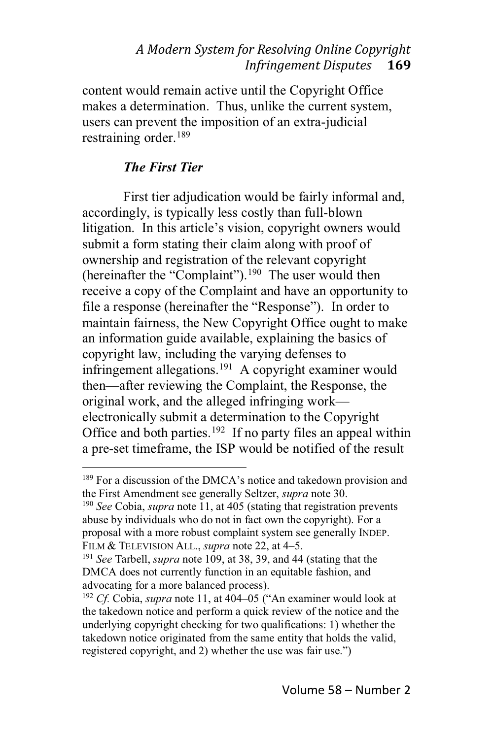content would remain active until the Copyright Office makes a determination. Thus, unlike the current system, users can prevent the imposition of an extra-judicial restraining order.<sup>189</sup>

#### *The First Tier*

First tier adjudication would be fairly informal and, accordingly, is typically less costly than full-blown litigation. In this article's vision, copyright owners would submit a form stating their claim along with proof of ownership and registration of the relevant copyright (hereinafter the "Complaint").<sup>190</sup> The user would then receive a copy of the Complaint and have an opportunity to file a response (hereinafter the "Response"). In order to maintain fairness, the New Copyright Office ought to make an information guide available, explaining the basics of copyright law, including the varying defenses to infringement allegations.<sup>191</sup> A copyright examiner would then—after reviewing the Complaint, the Response, the original work, and the alleged infringing work electronically submit a determination to the Copyright Office and both parties.<sup>192</sup> If no party files an appeal within a pre-set timeframe, the ISP would be notified of the result

 $189$  For a discussion of the DMCA's notice and takedown provision and the First Amendment see generally Seltzer, *supra* note 30.

<sup>190</sup> *See* Cobia, *supra* note 11, at 405 (stating that registration prevents abuse by individuals who do not in fact own the copyright). For a proposal with a more robust complaint system see generally INDEP. FILM & TELEVISION ALL., *supra* note 22, at 4-5.

<sup>191</sup> *See* Tarbell, *supra* note 109, at 38, 39, and 44 (stating that the DMCA does not currently function in an equitable fashion, and advocating for a more balanced process).

<sup>&</sup>lt;sup>192</sup> *Cf.* Cobia, *supra* note 11, at 404-05 ("An examiner would look at the takedown notice and perform a quick review of the notice and the underlying copyright checking for two qualifications: 1) whether the takedown notice originated from the same entity that holds the valid, registered copyright, and 2) whether the use was fair use."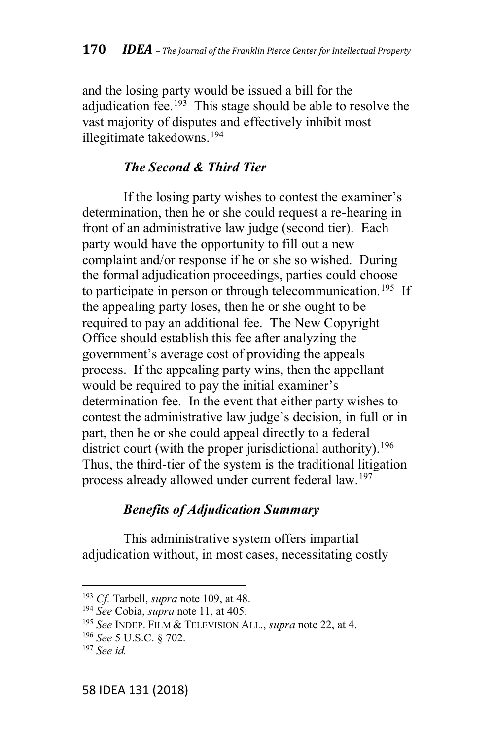and the losing party would be issued a bill for the adiudication fee.<sup>193</sup> This stage should be able to resolve the vast majority of disputes and effectively inhibit most illegitimate takedowns.194

#### *The Second & Third Tier*

If the losing party wishes to contest the examiner's determination, then he or she could request a re-hearing in front of an administrative law judge (second tier). Each party would have the opportunity to fill out a new complaint and/or response if he or she so wished. During the formal adjudication proceedings, parties could choose to participate in person or through telecommunication.<sup>195</sup> If the appealing party loses, then he or she ought to be required to pay an additional fee. The New Copyright Office should establish this fee after analyzing the government's average cost of providing the appeals process. If the appealing party wins, then the appellant would be required to pay the initial examiner's determination fee. In the event that either party wishes to contest the administrative law judge's decision, in full or in part, then he or she could appeal directly to a federal district court (with the proper jurisdictional authority).<sup>196</sup> Thus, the third-tier of the system is the traditional litigation process already allowed under current federal law.197

### *Benefits of Adjudication Summary*

This administrative system offers impartial adjudication without, in most cases, necessitating costly

<sup>193</sup> *Cf.* Tarbell, *supra* note 109, at 48.

<sup>194</sup> *See* Cobia, *supra* note 11, at 405.

<sup>195</sup> *See* INDEP. FILM & TELEVISION ALL., *supra* note 22, at 4.

<sup>196</sup> *See* 5 U.S.C. § 702.

<sup>197</sup> *See id.*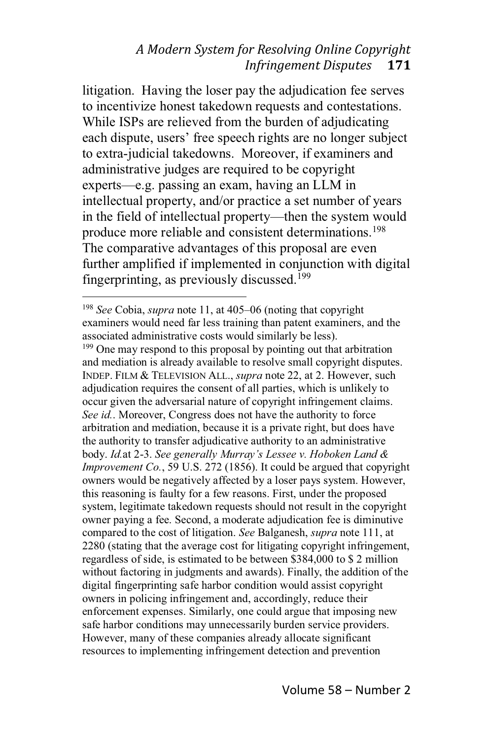litigation. Having the loser pay the adjudication fee serves to incentivize honest takedown requests and contestations. While ISPs are relieved from the burden of adjudicating each dispute, users' free speech rights are no longer subject to extra-judicial takedowns. Moreover, if examiners and administrative judges are required to be copyright experts—e.g. passing an exam, having an LLM in intellectual property, and/or practice a set number of years in the field of intellectual property—then the system would produce more reliable and consistent determinations.<sup>198</sup> The comparative advantages of this proposal are even further amplified if implemented in conjunction with digital fingerprinting, as previously discussed.199

<sup>&</sup>lt;sup>198</sup> *See* Cobia, *supra* note 11, at 405–06 (noting that copyright examiners would need far less training than patent examiners, and the associated administrative costs would similarly be less). <sup>199</sup> One may respond to this proposal by pointing out that arbitration and mediation is already available to resolve small copyright disputes. INDEP. FILM & TELEVISION ALL., *supra* note 22, at 2. However, such adjudication requires the consent of all parties, which is unlikely to occur given the adversarial nature of copyright infringement claims. *See id.*. Moreover, Congress does not have the authority to force arbitration and mediation, because it is a private right, but does have the authority to transfer adjudicative authority to an administrative *body. Id.at 2-3. See generally Murray's Lessee v. Hoboken Land & Improvement Co.*, 59 U.S. 272 (1856). It could be argued that copyright owners would be negatively affected by a loser pays system. However, this reasoning is faulty for a few reasons. First, under the proposed system, legitimate takedown requests should not result in the copyright owner paying a fee. Second, a moderate adjudication fee is diminutive compared to the cost of litigation. *See* Balganesh, *supra* note 111, at 2280 (stating that the average cost for litigating copyright infringement, regardless of side, is estimated to be between \$384,000 to \$ 2 million without factoring in judgments and awards). Finally, the addition of the digital fingerprinting safe harbor condition would assist copyright owners in policing infringement and, accordingly, reduce their enforcement expenses. Similarly, one could argue that imposing new safe harbor conditions may unnecessarily burden service providers. However, many of these companies already allocate significant resources to implementing infringement detection and prevention